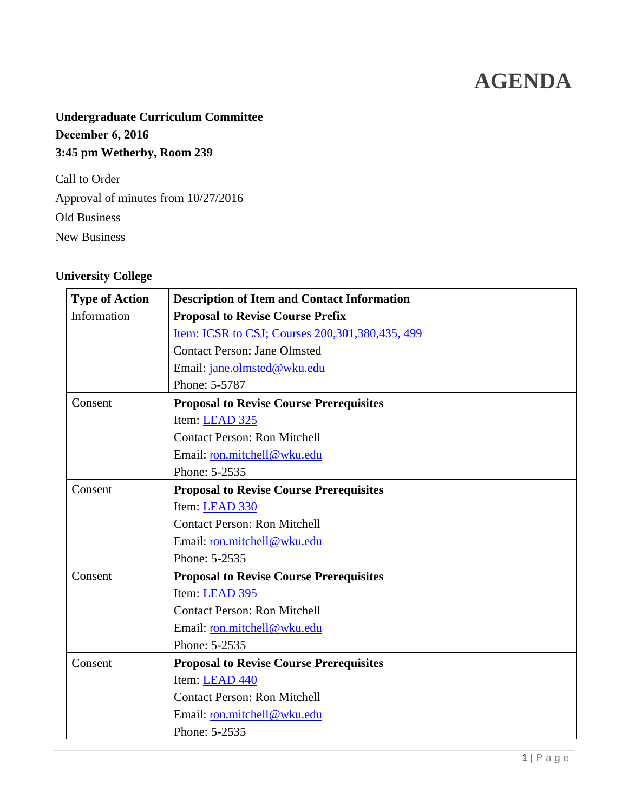# **AGENDA**

# **Undergraduate Curriculum Committee December 6, 2016 3:45 pm Wetherby, Room 239**

Call to Order Approval of minutes from 10/27/2016 Old Business New Business

### <span id="page-0-0"></span>**University College**

| <b>Type of Action</b> | <b>Description of Item and Contact Information</b> |  |
|-----------------------|----------------------------------------------------|--|
| Information           | <b>Proposal to Revise Course Prefix</b>            |  |
|                       | Item: ICSR to CSJ; Courses 200, 301, 380, 435, 499 |  |
|                       | <b>Contact Person: Jane Olmsted</b>                |  |
|                       | Email: jane.olmsted@wku.edu                        |  |
|                       | Phone: 5-5787                                      |  |
| Consent               | <b>Proposal to Revise Course Prerequisites</b>     |  |
|                       | Item: LEAD 325                                     |  |
|                       | <b>Contact Person: Ron Mitchell</b>                |  |
|                       | Email: ron.mitchell@wku.edu                        |  |
|                       | Phone: 5-2535                                      |  |
| Consent               | <b>Proposal to Revise Course Prerequisites</b>     |  |
|                       | Item: LEAD 330                                     |  |
|                       | <b>Contact Person: Ron Mitchell</b>                |  |
|                       | Email: ron.mitchell@wku.edu                        |  |
|                       | Phone: 5-2535                                      |  |
| Consent               | <b>Proposal to Revise Course Prerequisites</b>     |  |
|                       | Item: LEAD 395                                     |  |
|                       | <b>Contact Person: Ron Mitchell</b>                |  |
|                       | Email: ron.mitchell@wku.edu                        |  |
|                       | Phone: 5-2535                                      |  |
| Consent               | <b>Proposal to Revise Course Prerequisites</b>     |  |
|                       | Item: LEAD 440                                     |  |
|                       | <b>Contact Person: Ron Mitchell</b>                |  |
|                       | Email: ron.mitchell@wku.edu                        |  |
|                       | Phone: 5-2535                                      |  |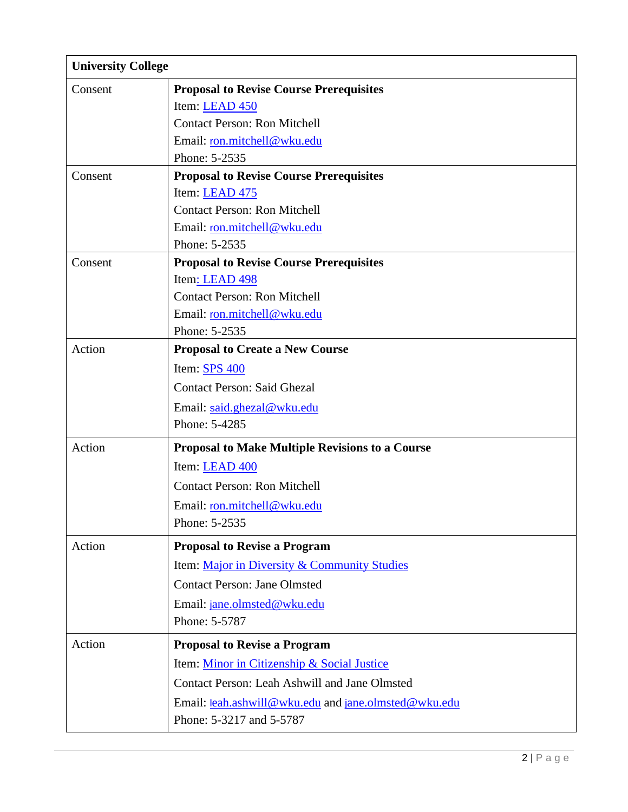<span id="page-1-0"></span>

| <b>University College</b> |                                                        |
|---------------------------|--------------------------------------------------------|
| Consent                   | <b>Proposal to Revise Course Prerequisites</b>         |
|                           | Item: LEAD 450                                         |
|                           | <b>Contact Person: Ron Mitchell</b>                    |
|                           | Email: ron.mitchell@wku.edu                            |
|                           | Phone: 5-2535                                          |
| Consent                   | <b>Proposal to Revise Course Prerequisites</b>         |
|                           | Item: LEAD 475                                         |
|                           | <b>Contact Person: Ron Mitchell</b>                    |
|                           | Email: ron.mitchell@wku.edu                            |
|                           | Phone: 5-2535                                          |
| Consent                   | <b>Proposal to Revise Course Prerequisites</b>         |
|                           | Item: LEAD 498                                         |
|                           | <b>Contact Person: Ron Mitchell</b>                    |
|                           | Email: ron.mitchell@wku.edu<br>Phone: 5-2535           |
| Action                    | <b>Proposal to Create a New Course</b>                 |
|                           | Item: <b>SPS 400</b>                                   |
|                           | <b>Contact Person: Said Ghezal</b>                     |
|                           |                                                        |
|                           | Email: said.ghezal@wku.edu<br>Phone: 5-4285            |
|                           |                                                        |
| Action                    | <b>Proposal to Make Multiple Revisions to a Course</b> |
|                           | Item: LEAD 400                                         |
|                           | <b>Contact Person: Ron Mitchell</b>                    |
|                           | Email: ron.mitchell@wku.edu                            |
|                           | Phone: 5-2535                                          |
| Action                    | <b>Proposal to Revise a Program</b>                    |
|                           | Item: Major in Diversity & Community Studies           |
|                           | <b>Contact Person: Jane Olmsted</b>                    |
|                           | Email: jane.olmsted@wku.edu                            |
|                           | Phone: 5-5787                                          |
| Action                    | <b>Proposal to Revise a Program</b>                    |
|                           | Item: Minor in Citizenship & Social Justice            |
|                           | <b>Contact Person: Leah Ashwill and Jane Olmsted</b>   |
|                           | Email: leah.ashwill@wku.edu and jane.olmsted@wku.edu   |
|                           | Phone: 5-3217 and 5-5787                               |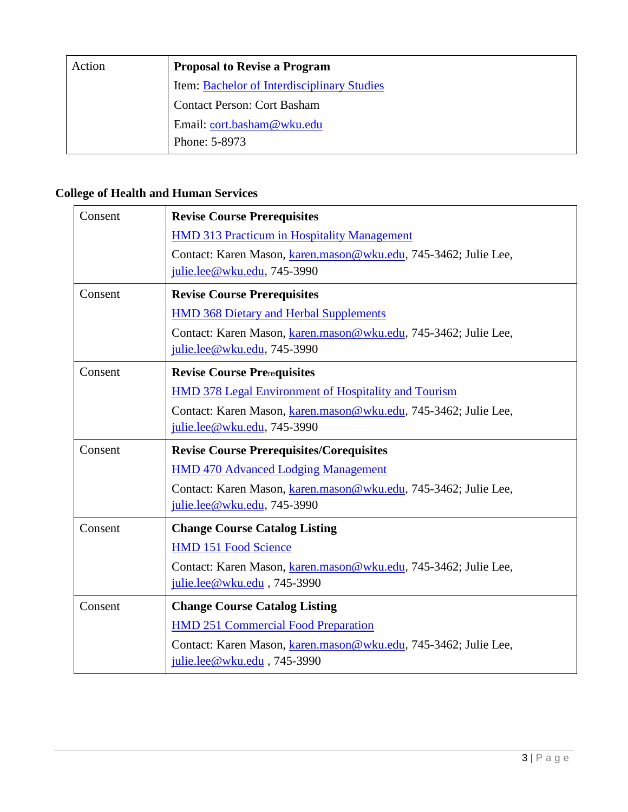| Action | <b>Proposal to Revise a Program</b>         |
|--------|---------------------------------------------|
|        | Item: Bachelor of Interdisciplinary Studies |
|        | <b>Contact Person: Cort Basham</b>          |
|        | Email: cort.basham@wku.edu                  |
|        | Phone: 5-8973                               |

# <span id="page-2-0"></span>**College of Health and Human Services**

| Consent | <b>Revise Course Prerequisites</b>                                                             |  |
|---------|------------------------------------------------------------------------------------------------|--|
|         | <b>HMD 313 Practicum in Hospitality Management</b>                                             |  |
|         | Contact: Karen Mason, karen.mason@wku.edu, 745-3462; Julie Lee,<br>julie.lee@wku.edu, 745-3990 |  |
| Consent | <b>Revise Course Prerequisites</b>                                                             |  |
|         | <b>HMD 368 Dietary and Herbal Supplements</b>                                                  |  |
|         | Contact: Karen Mason, karen.mason@wku.edu, 745-3462; Julie Lee,<br>julie.lee@wku.edu, 745-3990 |  |
| Consent | <b>Revise Course Prerequisites</b>                                                             |  |
|         | <b>HMD 378 Legal Environment of Hospitality and Tourism</b>                                    |  |
|         | Contact: Karen Mason, karen.mason@wku.edu, 745-3462; Julie Lee,<br>julie.lee@wku.edu, 745-3990 |  |
|         | <b>Revise Course Prerequisites/Corequisites</b>                                                |  |
| Consent |                                                                                                |  |
|         | <b>HMD 470 Advanced Lodging Management</b>                                                     |  |
|         | Contact: Karen Mason, karen.mason@wku.edu, 745-3462; Julie Lee,<br>julie.lee@wku.edu, 745-3990 |  |
| Consent | <b>Change Course Catalog Listing</b>                                                           |  |
|         | <b>HMD 151 Food Science</b>                                                                    |  |
|         | Contact: Karen Mason, karen.mason@wku.edu, 745-3462; Julie Lee,<br>julie.lee@wku.edu, 745-3990 |  |
| Consent | <b>Change Course Catalog Listing</b>                                                           |  |
|         | <b>HMD 251 Commercial Food Preparation</b>                                                     |  |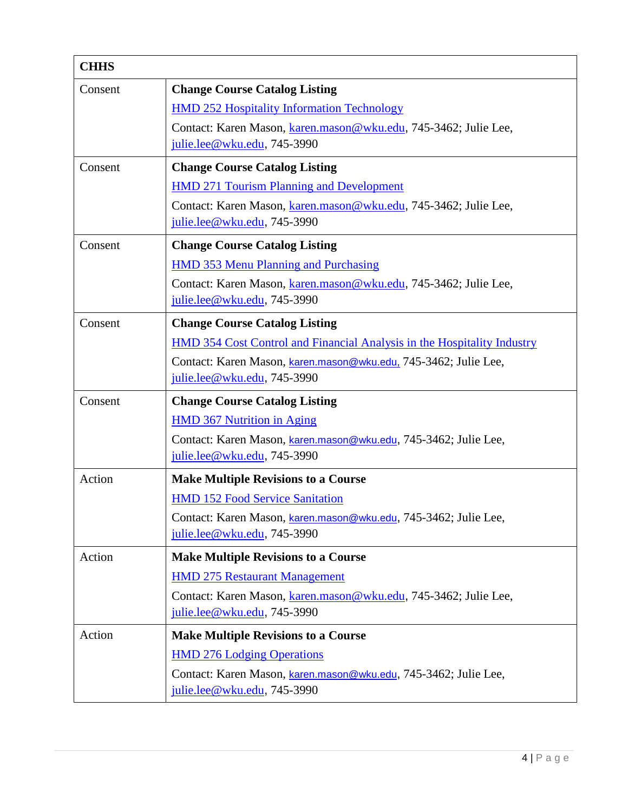| <b>CHHS</b> |                                                                                                  |  |
|-------------|--------------------------------------------------------------------------------------------------|--|
| Consent     | <b>Change Course Catalog Listing</b>                                                             |  |
|             | <b>HMD 252 Hospitality Information Technology</b>                                                |  |
|             | Contact: Karen Mason, karen.mason@wku.edu, 745-3462; Julie Lee,                                  |  |
|             | julie.lee@wku.edu, 745-3990                                                                      |  |
| Consent     | <b>Change Course Catalog Listing</b>                                                             |  |
|             | <b>HMD 271 Tourism Planning and Development</b>                                                  |  |
|             | Contact: Karen Mason, karen.mason@wku.edu, 745-3462; Julie Lee,<br>julie.lee@wku.edu, 745-3990   |  |
| Consent     | <b>Change Course Catalog Listing</b>                                                             |  |
|             | <b>HMD 353 Menu Planning and Purchasing</b>                                                      |  |
|             | Contact: Karen Mason, karen.mason@wku.edu, 745-3462; Julie Lee,                                  |  |
|             | $julie.lee@wku.edu, 745-3990$                                                                    |  |
| Consent     | <b>Change Course Catalog Listing</b>                                                             |  |
|             | HMD 354 Cost Control and Financial Analysis in the Hospitality Industry                          |  |
|             | Contact: Karen Mason, karen.mason@wku.edu, 745-3462; Julie Lee,                                  |  |
|             | julie.lee@wku.edu, 745-3990                                                                      |  |
| Consent     | <b>Change Course Catalog Listing</b>                                                             |  |
|             | <b>HMD 367 Nutrition in Aging</b>                                                                |  |
|             | Contact: Karen Mason, karen.mason@wku.edu, 745-3462; Julie Lee,                                  |  |
|             | julie.lee@wku.edu, 745-3990                                                                      |  |
| Action      | <b>Make Multiple Revisions to a Course</b>                                                       |  |
|             | <b>HMD 152 Food Service Sanitation</b>                                                           |  |
|             | Contact: Karen Mason, karen.mason@wku.edu, 745-3462; Julie Lee,                                  |  |
|             | julie.lee@wku.edu, 745-3990                                                                      |  |
| Action      | <b>Make Multiple Revisions to a Course</b>                                                       |  |
|             | <b>HMD 275 Restaurant Management</b>                                                             |  |
|             | Contact: Karen Mason, karen.mason@wku.edu, 745-3462; Julie Lee,<br>julie.lee@wku.edu, 745-3990   |  |
| Action      | <b>Make Multiple Revisions to a Course</b>                                                       |  |
|             | <b>HMD 276 Lodging Operations</b>                                                                |  |
|             | Contact: Karen Mason, karen.mason@wku.edu, 745-3462; Julie Lee,<br>julie.lee@wku.edu, $745-3990$ |  |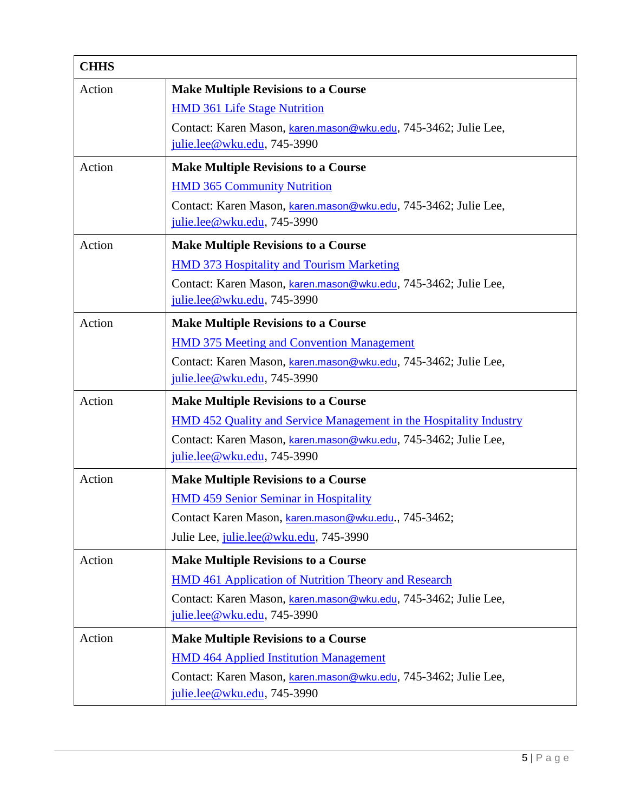| <b>CHHS</b> |                                                                                                |
|-------------|------------------------------------------------------------------------------------------------|
| Action      | <b>Make Multiple Revisions to a Course</b>                                                     |
|             | <b>HMD 361 Life Stage Nutrition</b>                                                            |
|             | Contact: Karen Mason, karen.mason@wku.edu, 745-3462; Julie Lee,                                |
|             | julie.lee@wku.edu, 745-3990                                                                    |
| Action      | <b>Make Multiple Revisions to a Course</b>                                                     |
|             | <b>HMD 365 Community Nutrition</b>                                                             |
|             | Contact: Karen Mason, karen.mason@wku.edu, 745-3462; Julie Lee,<br>julie.lee@wku.edu, 745-3990 |
| Action      | <b>Make Multiple Revisions to a Course</b>                                                     |
|             | <b>HMD 373 Hospitality and Tourism Marketing</b>                                               |
|             | Contact: Karen Mason, karen.mason@wku.edu, 745-3462; Julie Lee,                                |
|             | julie.lee@wku.edu, 745-3990                                                                    |
| Action      | <b>Make Multiple Revisions to a Course</b>                                                     |
|             | <b>HMD 375 Meeting and Convention Management</b>                                               |
|             | Contact: Karen Mason, karen.mason@wku.edu, 745-3462; Julie Lee,                                |
|             | julie.lee@wku.edu, 745-3990                                                                    |
| Action      | <b>Make Multiple Revisions to a Course</b>                                                     |
|             | <b>HMD 452 Quality and Service Management in the Hospitality Industry</b>                      |
|             | Contact: Karen Mason, karen.mason@wku.edu, 745-3462; Julie Lee,                                |
|             | julie.lee@wku.edu, 745-3990                                                                    |
| Action      | <b>Make Multiple Revisions to a Course</b>                                                     |
|             | <b>HMD 459 Senior Seminar in Hospitality</b>                                                   |
|             | Contact Karen Mason, karen.mason@wku.edu., 745-3462;                                           |
|             | Julie Lee, julie.lee@wku.edu, 745-3990                                                         |
| Action      | <b>Make Multiple Revisions to a Course</b>                                                     |
|             | <b>HMD 461 Application of Nutrition Theory and Research</b>                                    |
|             | Contact: Karen Mason, karen mason@wku.edu, 745-3462; Julie Lee,                                |
|             | $julie.lee@wku.edu, 745-3990$                                                                  |
| Action      | <b>Make Multiple Revisions to a Course</b>                                                     |
|             | <b>HMD 464 Applied Institution Management</b>                                                  |
|             | Contact: Karen Mason, karen.mason@wku.edu, 745-3462; Julie Lee,<br>julie.lee@wku.edu, 745-3990 |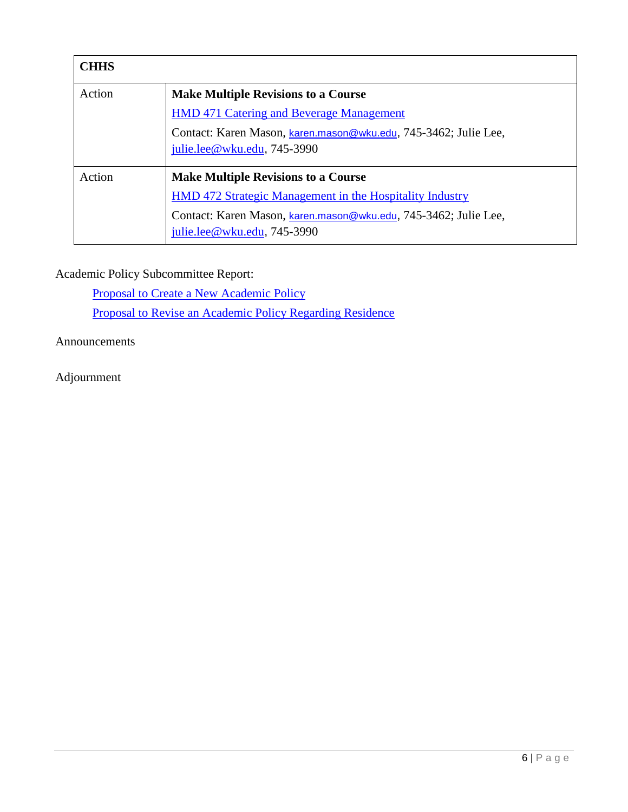| <b>CHHS</b> |                                                                                                                                                                                                                   |
|-------------|-------------------------------------------------------------------------------------------------------------------------------------------------------------------------------------------------------------------|
| Action      | <b>Make Multiple Revisions to a Course</b><br><b>HMD 471 Catering and Beverage Management</b><br>Contact: Karen Mason, karen.mason@wku.edu, 745-3462; Julie Lee,<br>julie.lee@wku.edu, 745-3990                   |
| Action      | <b>Make Multiple Revisions to a Course</b><br><b>HMD</b> 472 Strategic Management in the Hospitality Industry<br>Contact: Karen Mason, karen.mason@wku.edu, 745-3462; Julie Lee,<br>julie.lee@wku.edu, $745-3990$ |

Academic Policy Subcommittee Report:

[Proposal to Create a New Academic Policy](#page-68-0) [Proposal to Revise an Academic Policy Regarding Residence](#page-70-0)

Announcements

Adjournment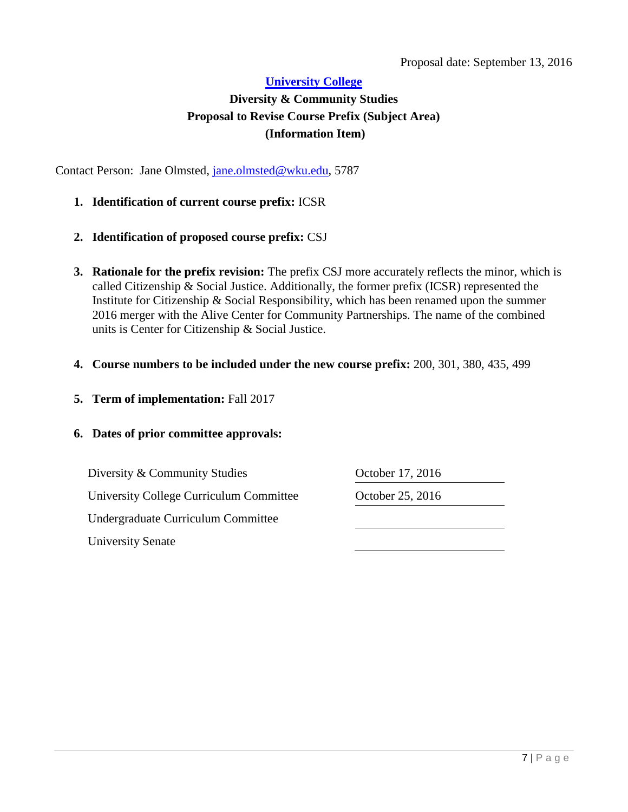### <span id="page-6-0"></span>**Diversity & Community Studies Proposal to Revise Course Prefix (Subject Area) (Information Item)**

Contact Person: Jane Olmsted, [jane.olmsted@wku.edu,](mailto:jane.olmsted@wku.edu) 5787

- **1. Identification of current course prefix:** ICSR
- **2. Identification of proposed course prefix:** CSJ
- **3. Rationale for the prefix revision:** The prefix CSJ more accurately reflects the minor, which is called Citizenship & Social Justice. Additionally, the former prefix (ICSR) represented the Institute for Citizenship & Social Responsibility, which has been renamed upon the summer 2016 merger with the Alive Center for Community Partnerships. The name of the combined units is Center for Citizenship & Social Justice.
- **4. Course numbers to be included under the new course prefix:** 200, 301, 380, 435, 499
- **5. Term of implementation:** Fall 2017

### **6. Dates of prior committee approvals:**

Diversity & Community Studies **October 17, 2016** University College Curriculum Committee **October 25, 2016** Undergraduate Curriculum Committee University Senate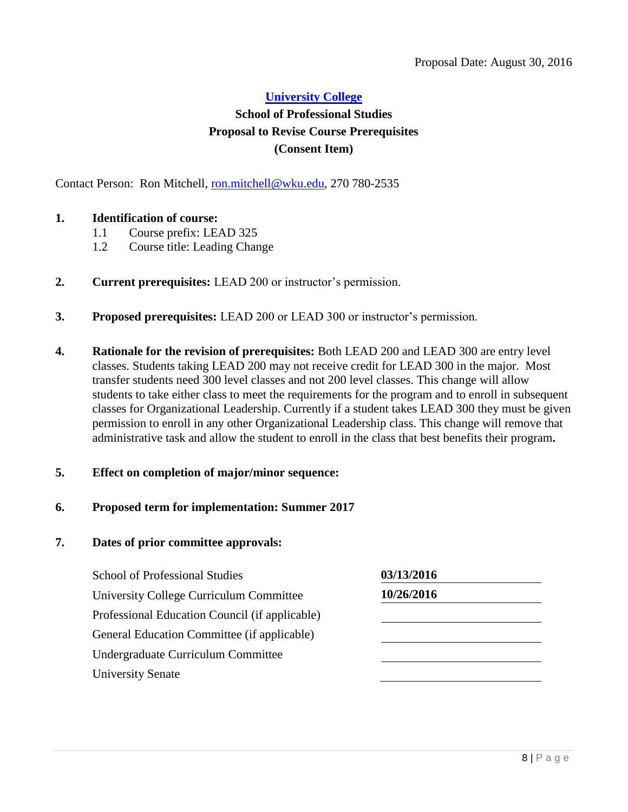### **[University College](#page-0-0)  School of Professional Studies Proposal to Revise Course Prerequisites (Consent Item)**

Contact Person: Ron Mitchell, [ron.mitchell@wku.edu,](mailto:ron.mitchell@wku.edu) 270 780-2535

### **1. Identification of course:**

- <span id="page-7-0"></span>1.1 Course prefix: LEAD 325
- 1.2 Course title: Leading Change
- **2. Current prerequisites:** LEAD 200 or instructor's permission.
- **3. Proposed prerequisites:** LEAD 200 or LEAD 300 or instructor's permission.
- **4. Rationale for the revision of prerequisites:** Both LEAD 200 and LEAD 300 are entry level classes. Students taking LEAD 200 may not receive credit for LEAD 300 in the major. Most transfer students need 300 level classes and not 200 level classes. This change will allow students to take either class to meet the requirements for the program and to enroll in subsequent classes for Organizational Leadership. Currently if a student takes LEAD 300 they must be given permission to enroll in any other Organizational Leadership class. This change will remove that administrative task and allow the student to enroll in the class that best benefits their program**.**
- **5. Effect on completion of major/minor sequence:**
- **6. Proposed term for implementation: Summer 2017**
- **7. Dates of prior committee approvals:**

School of Professional Studies **03/13/2016** University College Curriculum Committee **10/26/2016** Professional Education Council (if applicable) General Education Committee (if applicable) Undergraduate Curriculum Committee University Senate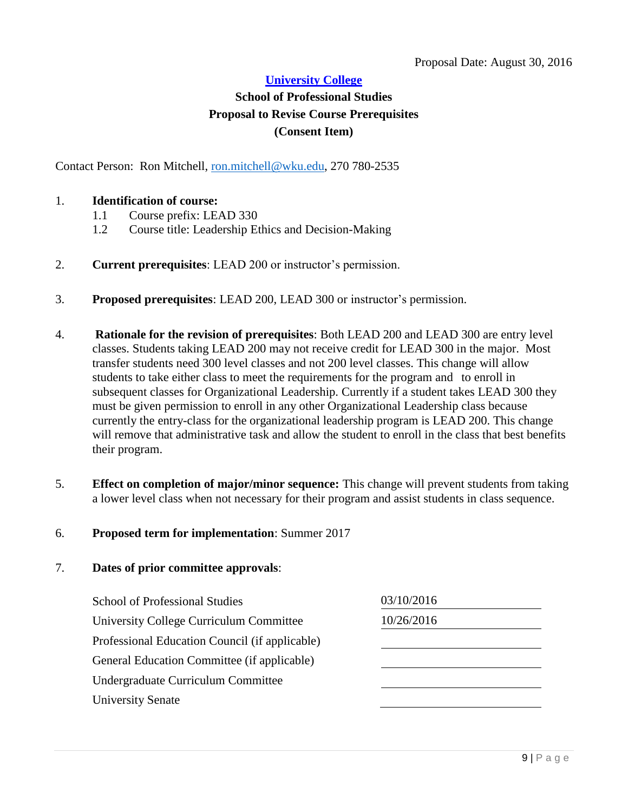### **School of Professional Studies Proposal to Revise Course Prerequisites (Consent Item)**

Contact Person: Ron Mitchell, [ron.mitchell@wku.edu,](mailto:ron.mitchell@wku.edu) 270 780-2535

### 1. **Identification of course:**

- <span id="page-8-0"></span>1.1 Course prefix: LEAD 330
- 1.2 Course title: Leadership Ethics and Decision-Making
- 2. **Current prerequisites**: LEAD 200 or instructor's permission.
- 3. **Proposed prerequisites**: LEAD 200, LEAD 300 or instructor's permission.
- 4. **Rationale for the revision of prerequisites**: Both LEAD 200 and LEAD 300 are entry level classes. Students taking LEAD 200 may not receive credit for LEAD 300 in the major. Most transfer students need 300 level classes and not 200 level classes. This change will allow students to take either class to meet the requirements for the program and to enroll in subsequent classes for Organizational Leadership. Currently if a student takes LEAD 300 they must be given permission to enroll in any other Organizational Leadership class because currently the entry-class for the organizational leadership program is LEAD 200. This change will remove that administrative task and allow the student to enroll in the class that best benefits their program.
- 5. **Effect on completion of major/minor sequence:** This change will prevent students from taking a lower level class when not necessary for their program and assist students in class sequence.

#### 6. **Proposed term for implementation**: Summer 2017

| <b>School of Professional Studies</b>          | 03/10/2016 |  |
|------------------------------------------------|------------|--|
| University College Curriculum Committee        | 10/26/2016 |  |
| Professional Education Council (if applicable) |            |  |
| General Education Committee (if applicable)    |            |  |
| Undergraduate Curriculum Committee             |            |  |
| <b>University Senate</b>                       |            |  |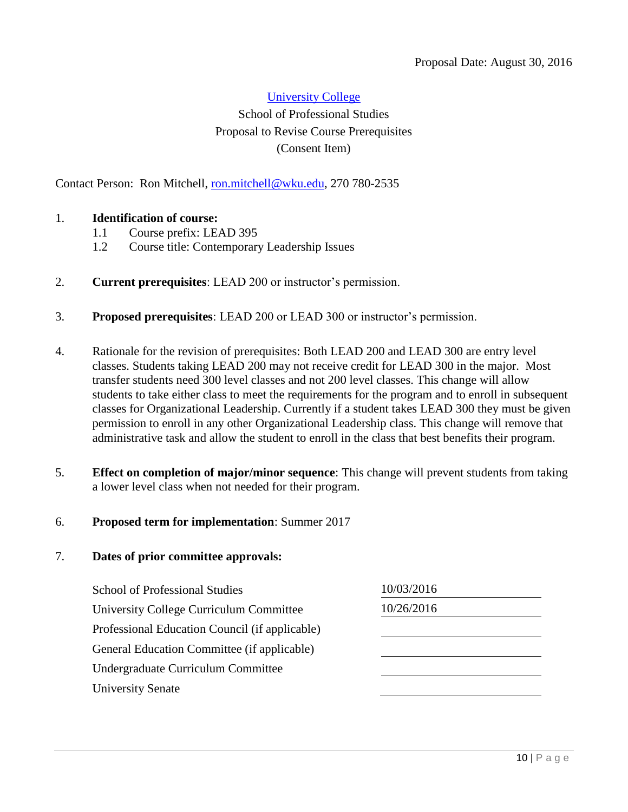### [University College](#page-0-0)  School of Professional Studies Proposal to Revise Course Prerequisites (Consent Item)

Contact Person: Ron Mitchell, [ron.mitchell@wku.edu,](mailto:ron.mitchell@wku.edu) 270 780-2535

### 1. **Identification of course:**

- <span id="page-9-0"></span>1.1 Course prefix: LEAD 395
- 1.2 Course title: Contemporary Leadership Issues
- 2. **Current prerequisites**: LEAD 200 or instructor's permission.
- 3. **Proposed prerequisites**: LEAD 200 or LEAD 300 or instructor's permission.
- 4. Rationale for the revision of prerequisites: Both LEAD 200 and LEAD 300 are entry level classes. Students taking LEAD 200 may not receive credit for LEAD 300 in the major. Most transfer students need 300 level classes and not 200 level classes. This change will allow students to take either class to meet the requirements for the program and to enroll in subsequent classes for Organizational Leadership. Currently if a student takes LEAD 300 they must be given permission to enroll in any other Organizational Leadership class. This change will remove that administrative task and allow the student to enroll in the class that best benefits their program.
- 5. **Effect on completion of major/minor sequence**: This change will prevent students from taking a lower level class when not needed for their program.

### 6. **Proposed term for implementation**: Summer 2017

| <b>School of Professional Studies</b>          | 10/03/2016 |  |
|------------------------------------------------|------------|--|
| University College Curriculum Committee        | 10/26/2016 |  |
| Professional Education Council (if applicable) |            |  |
| General Education Committee (if applicable)    |            |  |
| Undergraduate Curriculum Committee             |            |  |
| <b>University Senate</b>                       |            |  |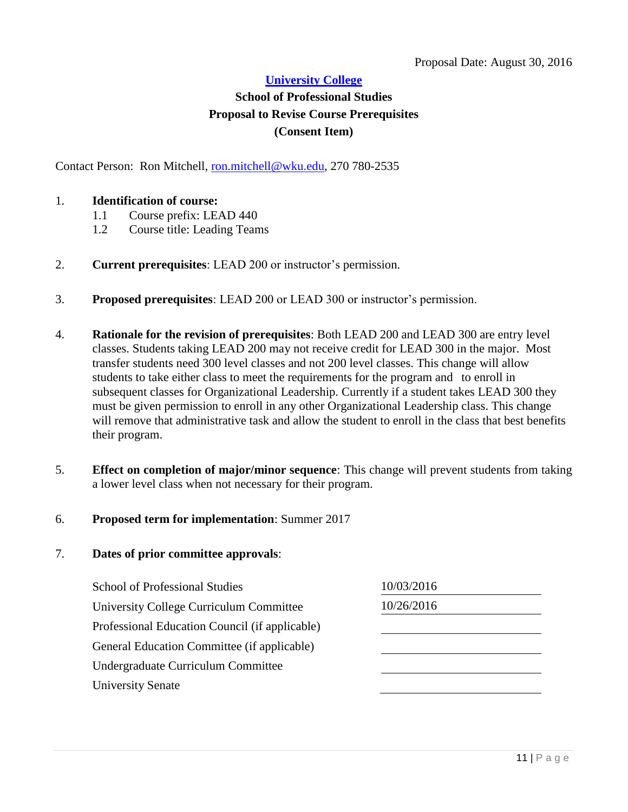### **School of Professional Studies Proposal to Revise Course Prerequisites (Consent Item)**

Contact Person: Ron Mitchell, [ron.mitchell@wku.edu,](mailto:ron.mitchell@wku.edu) 270 780-2535

### 1. **Identification of course:**

- <span id="page-10-0"></span>1.1 Course prefix: LEAD 440
- 1.2 Course title: Leading Teams
- 2. **Current prerequisites**: LEAD 200 or instructor's permission.
- 3. **Proposed prerequisites**: LEAD 200 or LEAD 300 or instructor's permission.
- 4. **Rationale for the revision of prerequisites**: Both LEAD 200 and LEAD 300 are entry level classes. Students taking LEAD 200 may not receive credit for LEAD 300 in the major. Most transfer students need 300 level classes and not 200 level classes. This change will allow students to take either class to meet the requirements for the program and to enroll in subsequent classes for Organizational Leadership. Currently if a student takes LEAD 300 they must be given permission to enroll in any other Organizational Leadership class. This change will remove that administrative task and allow the student to enroll in the class that best benefits their program.
- 5. **Effect on completion of major/minor sequence**: This change will prevent students from taking a lower level class when not necessary for their program.

### 6. **Proposed term for implementation**: Summer 2017

| 10/03/2016 |
|------------|
| 10/26/2016 |
|            |
|            |
|            |
|            |
|            |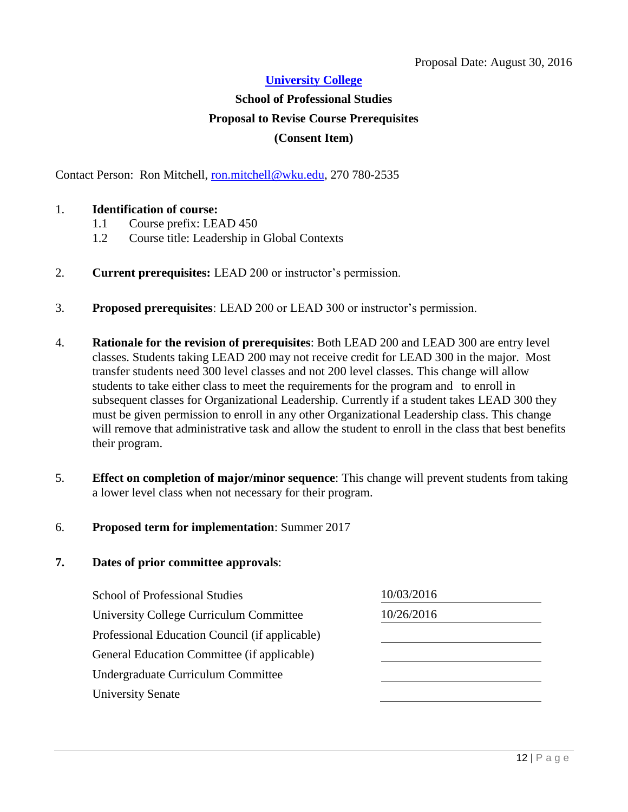# **School of Professional Studies Proposal to Revise Course Prerequisites (Consent Item)**

Contact Person: Ron Mitchell, [ron.mitchell@wku.edu,](mailto:ron.mitchell@wku.edu) 270 780-2535

### 1. **Identification of course:**

- <span id="page-11-0"></span>1.1 Course prefix: LEAD 450
- 1.2 Course title: Leadership in Global Contexts
- 2. **Current prerequisites:** LEAD 200 or instructor's permission.
- 3. **Proposed prerequisites**: LEAD 200 or LEAD 300 or instructor's permission.
- 4. **Rationale for the revision of prerequisites**: Both LEAD 200 and LEAD 300 are entry level classes. Students taking LEAD 200 may not receive credit for LEAD 300 in the major. Most transfer students need 300 level classes and not 200 level classes. This change will allow students to take either class to meet the requirements for the program and to enroll in subsequent classes for Organizational Leadership. Currently if a student takes LEAD 300 they must be given permission to enroll in any other Organizational Leadership class. This change will remove that administrative task and allow the student to enroll in the class that best benefits their program.
- 5. **Effect on completion of major/minor sequence**: This change will prevent students from taking a lower level class when not necessary for their program.

#### 6. **Proposed term for implementation**: Summer 2017

| <b>School of Professional Studies</b>          | 10/03/2016 |
|------------------------------------------------|------------|
| University College Curriculum Committee        | 10/26/2016 |
| Professional Education Council (if applicable) |            |
| General Education Committee (if applicable)    |            |
| Undergraduate Curriculum Committee             |            |
| <b>University Senate</b>                       |            |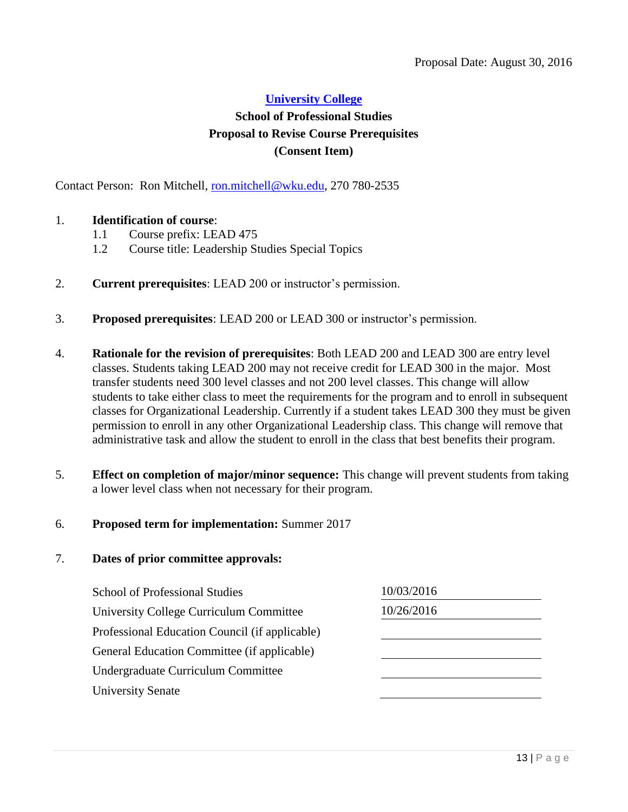### **School of Professional Studies Proposal to Revise Course Prerequisites (Consent Item)**

Contact Person: Ron Mitchell, [ron.mitchell@wku.edu,](mailto:ron.mitchell@wku.edu) 270 780-2535

### 1. **Identification of course**:

- <span id="page-12-0"></span>1.1 Course prefix: LEAD 475
- 1.2 Course title: Leadership Studies Special Topics
- 2. **Current prerequisites**: LEAD 200 or instructor's permission.
- 3. **Proposed prerequisites**: LEAD 200 or LEAD 300 or instructor's permission.
- 4. **Rationale for the revision of prerequisites**: Both LEAD 200 and LEAD 300 are entry level classes. Students taking LEAD 200 may not receive credit for LEAD 300 in the major. Most transfer students need 300 level classes and not 200 level classes. This change will allow students to take either class to meet the requirements for the program and to enroll in subsequent classes for Organizational Leadership. Currently if a student takes LEAD 300 they must be given permission to enroll in any other Organizational Leadership class. This change will remove that administrative task and allow the student to enroll in the class that best benefits their program.
- 5. **Effect on completion of major/minor sequence:** This change will prevent students from taking a lower level class when not necessary for their program.

#### 6. **Proposed term for implementation:** Summer 2017

| <b>School of Professional Studies</b>          | 10/03/2016 |  |
|------------------------------------------------|------------|--|
| University College Curriculum Committee        | 10/26/2016 |  |
| Professional Education Council (if applicable) |            |  |
| General Education Committee (if applicable)    |            |  |
| Undergraduate Curriculum Committee             |            |  |
| <b>University Senate</b>                       |            |  |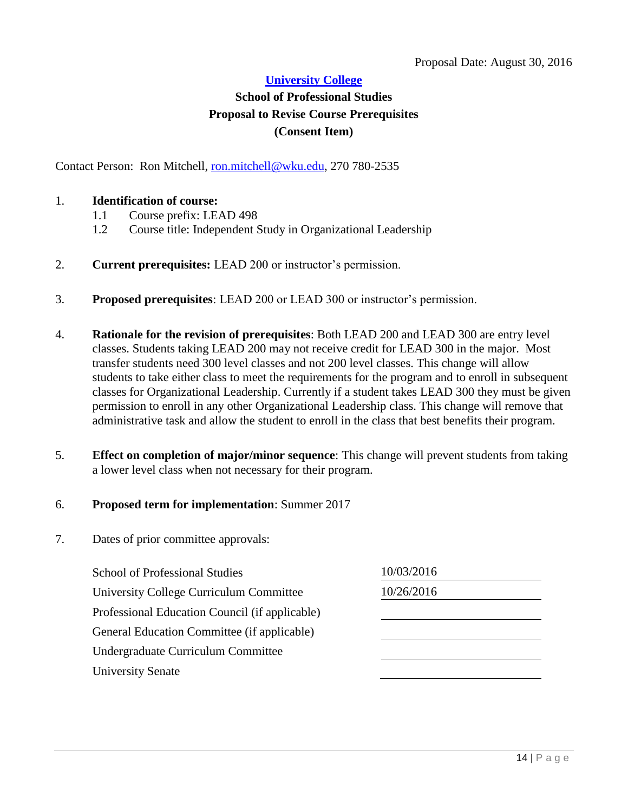### **School of Professional Studies Proposal to Revise Course Prerequisites (Consent Item)**

Contact Person: Ron Mitchell, [ron.mitchell@wku.edu,](mailto:ron.mitchell@wku.edu) 270 780-2535

### 1. **Identification of course:**

- <span id="page-13-0"></span>1.1 Course prefix: LEAD 498
- 1.2 Course title: Independent Study in Organizational Leadership
- 2. **Current prerequisites:** LEAD 200 or instructor's permission.
- 3. **Proposed prerequisites**: LEAD 200 or LEAD 300 or instructor's permission.
- 4. **Rationale for the revision of prerequisites**: Both LEAD 200 and LEAD 300 are entry level classes. Students taking LEAD 200 may not receive credit for LEAD 300 in the major. Most transfer students need 300 level classes and not 200 level classes. This change will allow students to take either class to meet the requirements for the program and to enroll in subsequent classes for Organizational Leadership. Currently if a student takes LEAD 300 they must be given permission to enroll in any other Organizational Leadership class. This change will remove that administrative task and allow the student to enroll in the class that best benefits their program.
- 5. **Effect on completion of major/minor sequence**: This change will prevent students from taking a lower level class when not necessary for their program.

### 6. **Proposed term for implementation**: Summer 2017

| <b>School of Professional Studies</b>          | 10/03/2016 |  |
|------------------------------------------------|------------|--|
| University College Curriculum Committee        | 10/26/2016 |  |
| Professional Education Council (if applicable) |            |  |
| General Education Committee (if applicable)    |            |  |
| Undergraduate Curriculum Committee             |            |  |
| <b>University Senate</b>                       |            |  |
|                                                |            |  |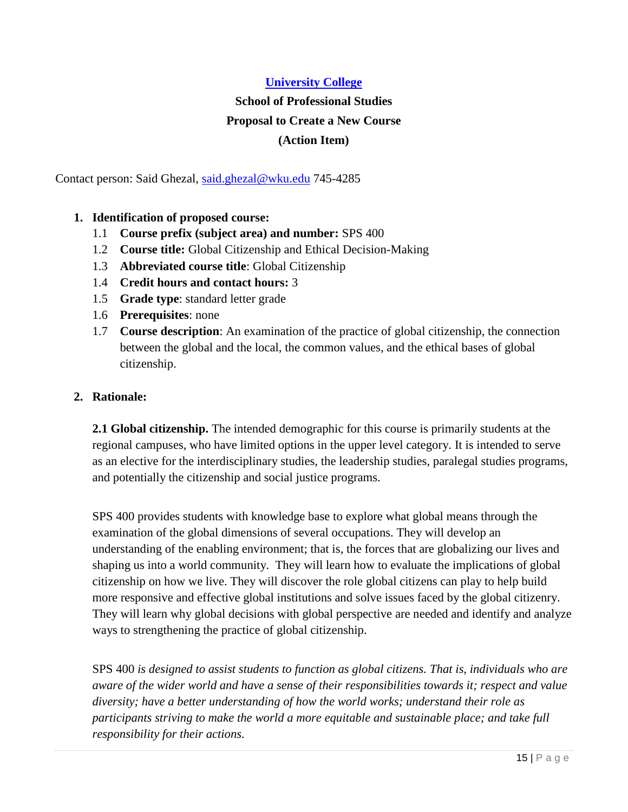# <span id="page-14-0"></span>**School of Professional Studies Proposal to Create a New Course (Action Item)**

Contact person: Said Ghezal, [said.ghezal@wku.edu](mailto:said.ghezal@wku.edu) 745-4285

- **1. Identification of proposed course:**
	- 1.1 **Course prefix (subject area) and number:** SPS 400
	- 1.2 **Course title:** Global Citizenship and Ethical Decision-Making
	- 1.3 **Abbreviated course title**: Global Citizenship
	- 1.4 **Credit hours and contact hours:** 3
	- 1.5 **Grade type**: standard letter grade
	- 1.6 **Prerequisites**: none
	- 1.7 **Course description**: An examination of the practice of global citizenship, the connection between the global and the local, the common values, and the ethical bases of global citizenship.

### **2. Rationale:**

**2.1 Global citizenship.** The intended demographic for this course is primarily students at the regional campuses, who have limited options in the upper level category. It is intended to serve as an elective for the interdisciplinary studies, the leadership studies, paralegal studies programs, and potentially the citizenship and social justice programs.

SPS 400 provides students with knowledge base to explore what global means through the examination of the global dimensions of several occupations. They will develop an understanding of the enabling environment; that is, the forces that are globalizing our lives and shaping us into a world community. They will learn how to evaluate the implications of global citizenship on how we live. They will discover the role global citizens can play to help build more responsive and effective global institutions and solve issues faced by the global citizenry. They will learn why global decisions with global perspective are needed and identify and analyze ways to strengthening the practice of global citizenship.

SPS 400 *is designed to assist students to function as global citizens. That is, individuals who are aware of the wider world and have a sense of their responsibilities towards it; respect and value diversity; have a better understanding of how the world works; understand their role as participants striving to make the world a more equitable and sustainable place; and take full responsibility for their actions.*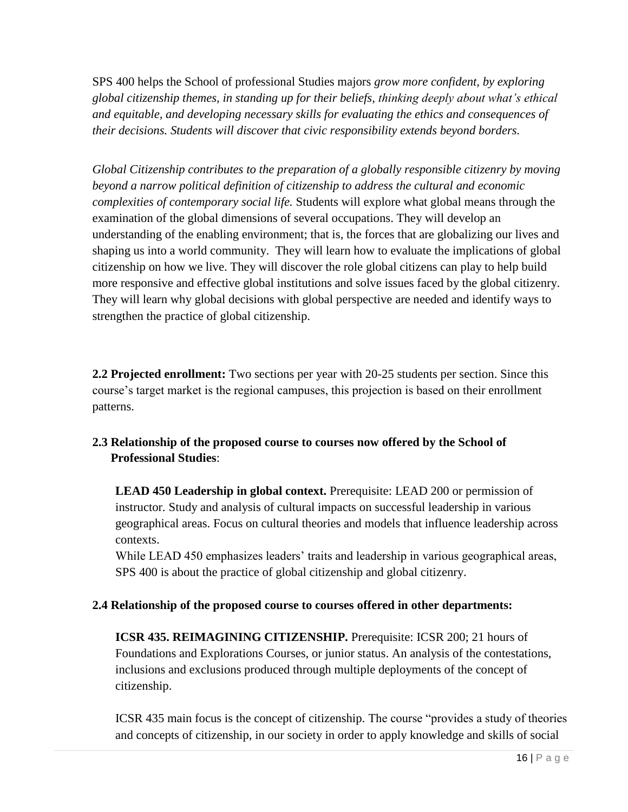SPS 400 helps the School of professional Studies majors *grow more confident, by exploring global citizenship themes, in standing up for their beliefs, thinking deeply about what's ethical and equitable, and developing necessary skills for evaluating the ethics and consequences of their decisions. Students will discover that civic responsibility extends beyond borders.*

*Global Citizenship contributes to the preparation of a globally responsible citizenry by moving beyond a narrow political definition of citizenship to address the cultural and economic complexities of contemporary social life.* Students will explore what global means through the examination of the global dimensions of several occupations. They will develop an understanding of the enabling environment; that is, the forces that are globalizing our lives and shaping us into a world community. They will learn how to evaluate the implications of global citizenship on how we live. They will discover the role global citizens can play to help build more responsive and effective global institutions and solve issues faced by the global citizenry. They will learn why global decisions with global perspective are needed and identify ways to strengthen the practice of global citizenship.

**2.2 Projected enrollment:** Two sections per year with 20-25 students per section. Since this course's target market is the regional campuses, this projection is based on their enrollment patterns.

### **2.3 Relationship of the proposed course to courses now offered by the School of Professional Studies**:

**LEAD 450 Leadership in global context.** Prerequisite: LEAD 200 or permission of instructor*.* Study and analysis of cultural impacts on successful leadership in various geographical areas. Focus on cultural theories and models that influence leadership across contexts.

While LEAD 450 emphasizes leaders' traits and leadership in various geographical areas, SPS 400 is about the practice of global citizenship and global citizenry.

### **2.4 Relationship of the proposed course to courses offered in other departments:**

**ICSR 435. REIMAGINING CITIZENSHIP.** Prerequisite: ICSR 200; 21 hours of Foundations and Explorations Courses, or junior status. An analysis of the contestations, inclusions and exclusions produced through multiple deployments of the concept of citizenship.

ICSR 435 main focus is the concept of citizenship. The course "provides a study of theories and concepts of citizenship, in our society in order to apply knowledge and skills of social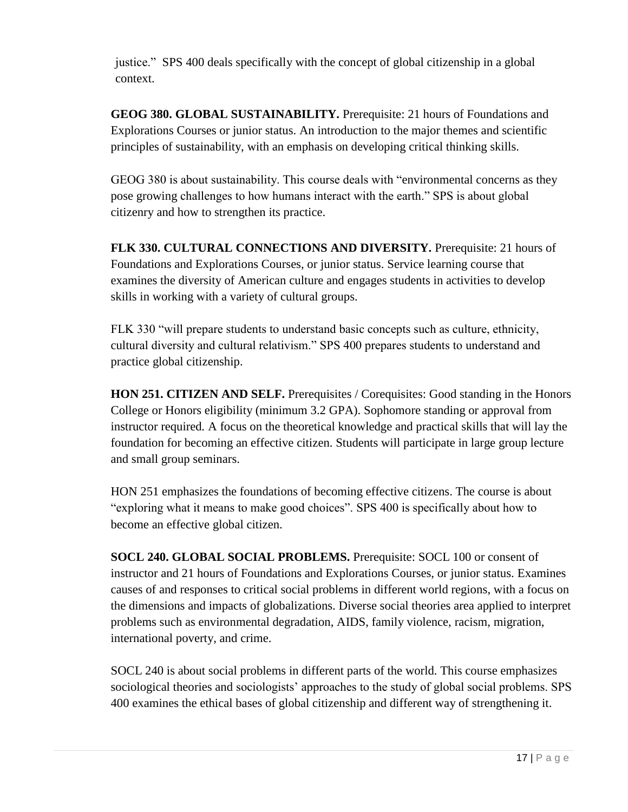justice." SPS 400 deals specifically with the concept of global citizenship in a global context.

**GEOG 380. GLOBAL SUSTAINABILITY.** Prerequisite: 21 hours of Foundations and Explorations Courses or junior status. An introduction to the major themes and scientific principles of sustainability, with an emphasis on developing critical thinking skills.

GEOG 380 is about sustainability. This course deals with "environmental concerns as they pose growing challenges to how humans interact with the earth." SPS is about global citizenry and how to strengthen its practice.

**FLK 330. CULTURAL CONNECTIONS AND DIVERSITY.** Prerequisite: 21 hours of Foundations and Explorations Courses, or junior status. Service learning course that examines the diversity of American culture and engages students in activities to develop skills in working with a variety of cultural groups.

FLK 330 "will prepare students to understand basic concepts such as culture, ethnicity, cultural diversity and cultural relativism." SPS 400 prepares students to understand and practice global citizenship.

**HON 251. CITIZEN AND SELF.** Prerequisites / Corequisites: Good standing in the Honors College or Honors eligibility (minimum 3.2 GPA). Sophomore standing or approval from instructor required*.* A focus on the theoretical knowledge and practical skills that will lay the foundation for becoming an effective citizen. Students will participate in large group lecture and small group seminars.

HON 251 emphasizes the foundations of becoming effective citizens. The course is about "exploring what it means to make good choices". SPS 400 is specifically about how to become an effective global citizen.

**SOCL 240. GLOBAL SOCIAL PROBLEMS.** Prerequisite: SOCL 100 or consent of instructor and 21 hours of Foundations and Explorations Courses, or junior status. Examines causes of and responses to critical social problems in different world regions, with a focus on the dimensions and impacts of globalizations. Diverse social theories area applied to interpret problems such as environmental degradation, AIDS, family violence, racism, migration, international poverty, and crime.

SOCL 240 is about social problems in different parts of the world. This course emphasizes sociological theories and sociologists' approaches to the study of global social problems. SPS 400 examines the ethical bases of global citizenship and different way of strengthening it.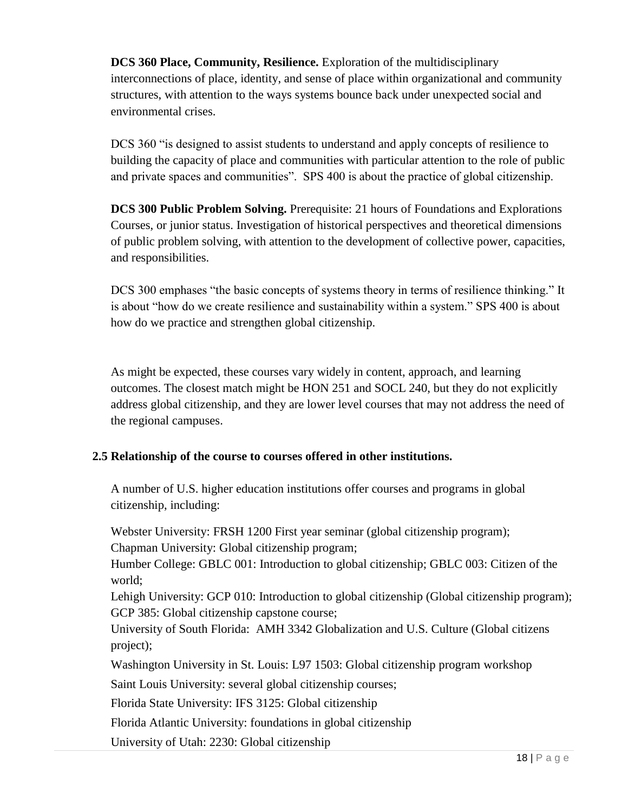**DCS 360 Place, Community, Resilience.** Exploration of the multidisciplinary interconnections of place, identity, and sense of place within organizational and community structures, with attention to the ways systems bounce back under unexpected social and environmental crises.

DCS 360 "is designed to assist students to understand and apply concepts of resilience to building the capacity of place and communities with particular attention to the role of public and private spaces and communities". SPS 400 is about the practice of global citizenship.

**DCS 300 Public Problem Solving.** Prerequisite: 21 hours of Foundations and Explorations Courses, or junior status. Investigation of historical perspectives and theoretical dimensions of public problem solving, with attention to the development of collective power, capacities, and responsibilities.

DCS 300 emphases "the basic concepts of systems theory in terms of resilience thinking." It is about "how do we create resilience and sustainability within a system." SPS 400 is about how do we practice and strengthen global citizenship.

As might be expected, these courses vary widely in content, approach, and learning outcomes. The closest match might be HON 251 and SOCL 240, but they do not explicitly address global citizenship, and they are lower level courses that may not address the need of the regional campuses.

### **2.5 Relationship of the course to courses offered in other institutions.**

A number of U.S. higher education institutions offer courses and programs in global citizenship, including:

Webster University: FRSH 1200 First year seminar (global citizenship program); Chapman University: Global citizenship program;

 Humber College: GBLC 001: Introduction to global citizenship; GBLC 003: Citizen of the world;

Lehigh University: GCP 010: Introduction to global citizenship (Global citizenship program); GCP 385: Global citizenship capstone course;

University of South Florida: AMH 3342 Globalization and U.S. Culture (Global citizens project);

Washington University in St. Louis: L97 1503: Global citizenship program workshop

Saint Louis University: several global citizenship courses;

Florida State University: IFS 3125: Global citizenship

Florida Atlantic University: foundations in global citizenship

University of Utah: 2230: Global citizenship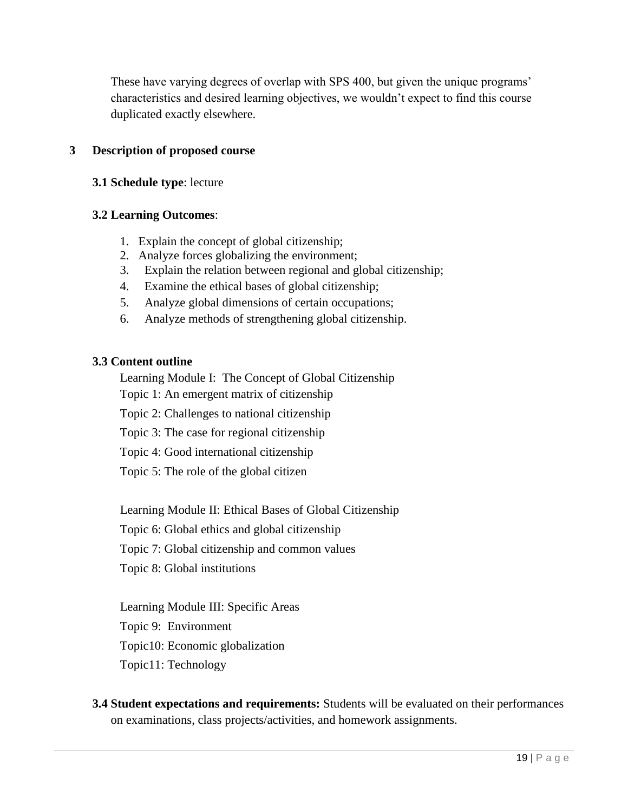These have varying degrees of overlap with SPS 400, but given the unique programs' characteristics and desired learning objectives, we wouldn't expect to find this course duplicated exactly elsewhere.

### **3 Description of proposed course**

### **3.1 Schedule type**: lecture

### **3.2 Learning Outcomes**:

- 1. Explain the concept of global citizenship;
- 2. Analyze forces globalizing the environment;
- 3. Explain the relation between regional and global citizenship;
- 4. Examine the ethical bases of global citizenship;
- 5. Analyze global dimensions of certain occupations;
- 6. Analyze methods of strengthening global citizenship.

### **3.3 Content outline**

Learning Module I: The Concept of Global Citizenship

Topic 1: An emergent matrix of citizenship

Topic 2: Challenges to national citizenship

Topic 3: The case for regional citizenship

Topic 4: Good international citizenship

Topic 5: The role of the global citizen

Learning Module II: Ethical Bases of Global Citizenship

Topic 6: Global ethics and global citizenship

Topic 7: Global citizenship and common values

Topic 8: Global institutions

Learning Module III: Specific Areas

Topic 9: Environment

Topic10: Economic globalization

Topic11: Technology

**3.4 Student expectations and requirements:** Students will be evaluated on their performances on examinations, class projects/activities, and homework assignments.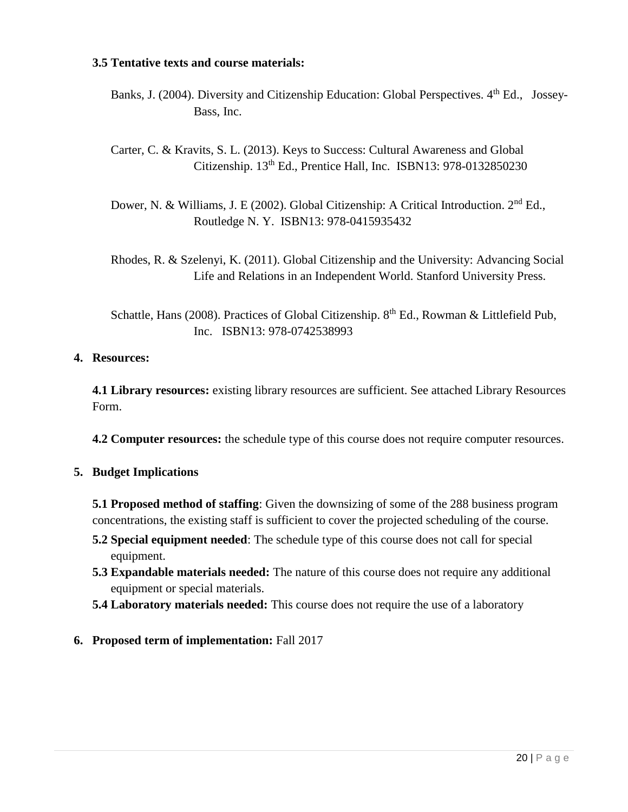### **3.5 Tentative texts and course materials:**

- Banks, J. (2004). Diversity and Citizenship Education: Global Perspectives. 4<sup>th</sup> Ed., Jossev-Bass, Inc.
- Carter, C. & Kravits, S. L. (2013). Keys to Success: Cultural Awareness and Global Citizenship. 13<sup>th</sup> Ed., Prentice Hall, Inc. ISBN13: 978-0132850230
- Dower, N. & Williams, J. E (2002). Global Citizenship: A Critical Introduction. 2<sup>nd</sup> Ed., Routledge N. Y. ISBN13: 978-0415935432
- Rhodes, R. & Szelenyi, K. (2011). Global Citizenship and the University: Advancing Social Life and Relations in an Independent World. Stanford University Press.
- Schattle, Hans (2008). Practices of Global Citizenship. 8<sup>th</sup> Ed., Rowman & Littlefield Pub, Inc. ISBN13: 978-0742538993

### **4. Resources:**

**4.1 Library resources:** existing library resources are sufficient. See attached Library Resources Form.

**4.2 Computer resources:** the schedule type of this course does not require computer resources.

### **5. Budget Implications**

**5.1 Proposed method of staffing**: Given the downsizing of some of the 288 business program concentrations, the existing staff is sufficient to cover the projected scheduling of the course.

- **5.2 Special equipment needed**: The schedule type of this course does not call for special equipment.
- **5.3 Expandable materials needed:** The nature of this course does not require any additional equipment or special materials.
- **5.4 Laboratory materials needed:** This course does not require the use of a laboratory

### **6. Proposed term of implementation:** Fall 2017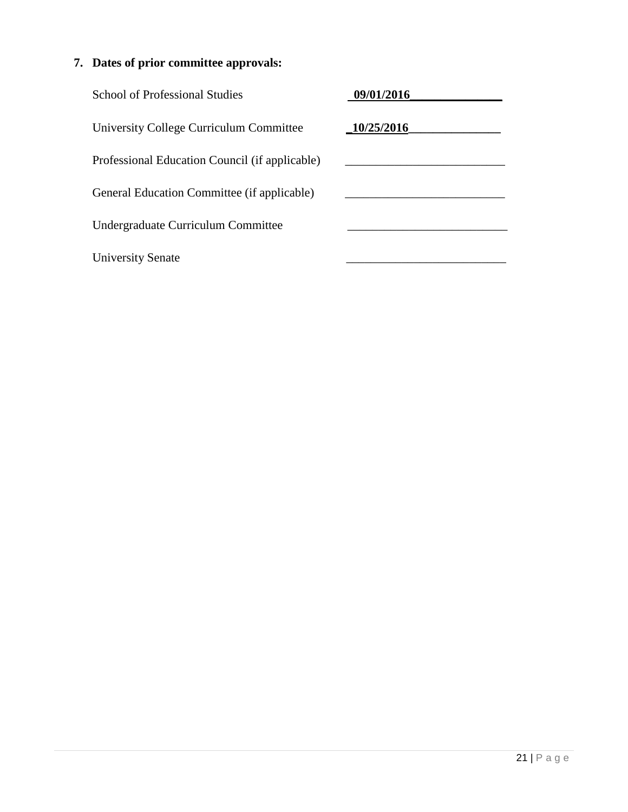| <b>School of Professional Studies</b>          | 09/01/2016 |
|------------------------------------------------|------------|
| University College Curriculum Committee        | 10/25/2016 |
| Professional Education Council (if applicable) |            |
| General Education Committee (if applicable)    |            |
| Undergraduate Curriculum Committee             |            |
| <b>University Senate</b>                       |            |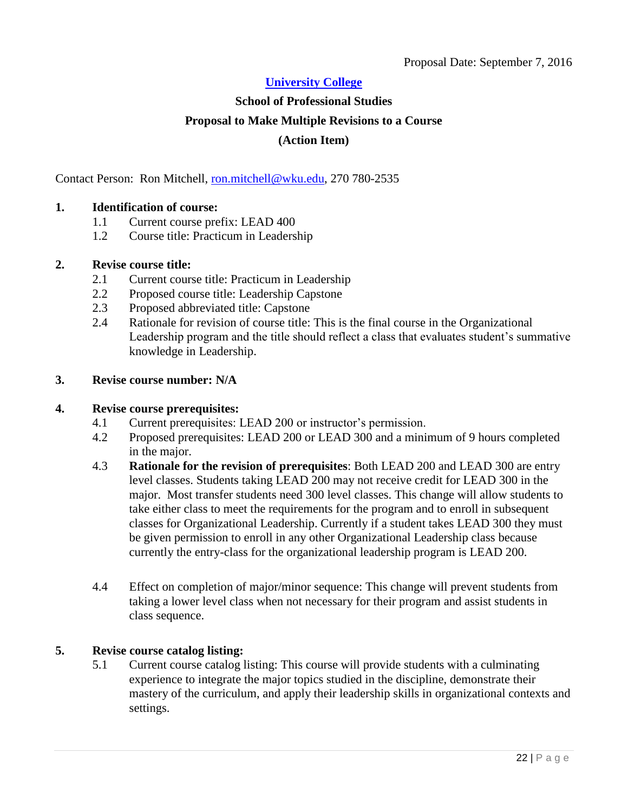# <span id="page-21-0"></span>**School of Professional Studies Proposal to Make Multiple Revisions to a Course (Action Item)**

Contact Person: Ron Mitchell, [ron.mitchell@wku.edu,](mailto:ron.mitchell@wku.edu) 270 780-2535

### **1. Identification of course:**

- 1.1 Current course prefix: LEAD 400
- 1.2 Course title: Practicum in Leadership

### **2. Revise course title:**

- 2.1 Current course title: Practicum in Leadership
- 2.2 Proposed course title: Leadership Capstone
- 2.3 Proposed abbreviated title: Capstone
- 2.4 Rationale for revision of course title: This is the final course in the Organizational Leadership program and the title should reflect a class that evaluates student's summative knowledge in Leadership.

### **3. Revise course number: N/A**

#### **4. Revise course prerequisites:**

- 4.1 Current prerequisites: LEAD 200 or instructor's permission.
- 4.2 Proposed prerequisites: LEAD 200 or LEAD 300 and a minimum of 9 hours completed in the major.
- 4.3 **Rationale for the revision of prerequisites**: Both LEAD 200 and LEAD 300 are entry level classes. Students taking LEAD 200 may not receive credit for LEAD 300 in the major. Most transfer students need 300 level classes. This change will allow students to take either class to meet the requirements for the program and to enroll in subsequent classes for Organizational Leadership. Currently if a student takes LEAD 300 they must be given permission to enroll in any other Organizational Leadership class because currently the entry-class for the organizational leadership program is LEAD 200.
- 4.4 Effect on completion of major/minor sequence: This change will prevent students from taking a lower level class when not necessary for their program and assist students in class sequence.

### **5. Revise course catalog listing:**

5.1 Current course catalog listing: This course will provide students with a culminating experience to integrate the major topics studied in the discipline, demonstrate their mastery of the curriculum, and apply their leadership skills in organizational contexts and settings.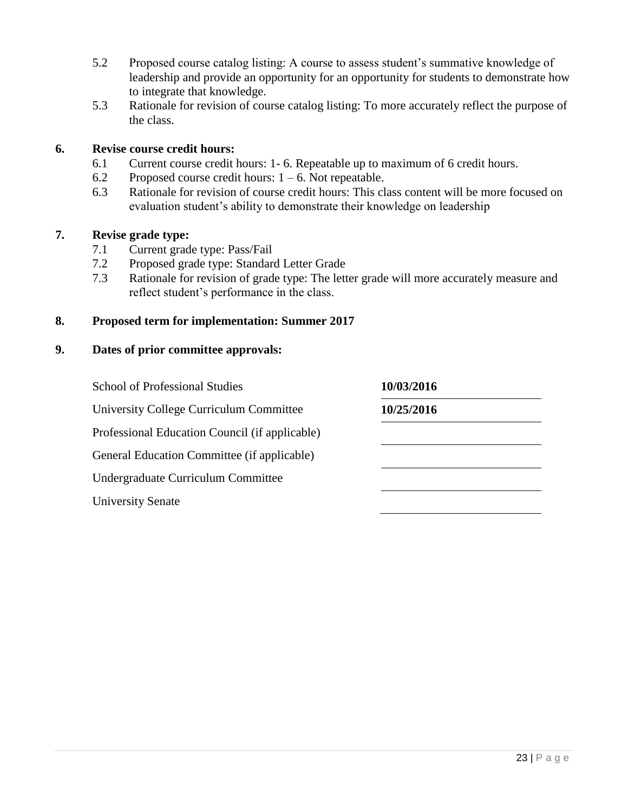- 5.2 Proposed course catalog listing: A course to assess student's summative knowledge of leadership and provide an opportunity for an opportunity for students to demonstrate how to integrate that knowledge.
- 5.3 Rationale for revision of course catalog listing: To more accurately reflect the purpose of the class.

### **6. Revise course credit hours:**

- 6.1 Current course credit hours: 1- 6. Repeatable up to maximum of 6 credit hours.
- 6.2 Proposed course credit hours:  $1 6$ . Not repeatable.
- 6.3 Rationale for revision of course credit hours: This class content will be more focused on evaluation student's ability to demonstrate their knowledge on leadership

### **7. Revise grade type:**

- 7.1 Current grade type: Pass/Fail
- 7.2 Proposed grade type: Standard Letter Grade
- 7.3 Rationale for revision of grade type: The letter grade will more accurately measure and reflect student's performance in the class.

### **8. Proposed term for implementation: Summer 2017**

| <b>School of Professional Studies</b>          | 10/03/2016 |  |
|------------------------------------------------|------------|--|
| University College Curriculum Committee        | 10/25/2016 |  |
| Professional Education Council (if applicable) |            |  |
| General Education Committee (if applicable)    |            |  |
| Undergraduate Curriculum Committee             |            |  |
| <b>University Senate</b>                       |            |  |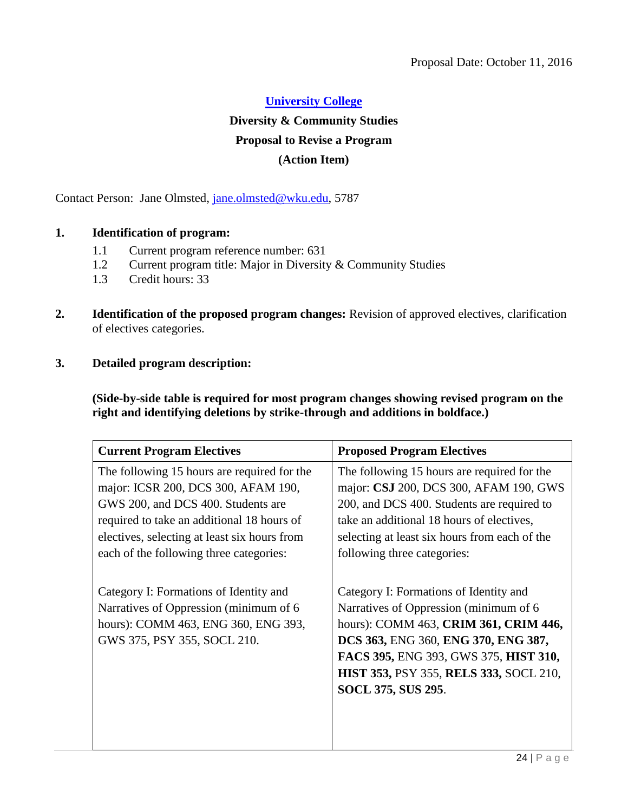### **Diversity & Community Studies**

### **Proposal to Revise a Program**

### <span id="page-23-0"></span>**(Action Item)**

Contact Person: Jane Olmsted, [jane.olmsted@wku.edu,](mailto:jane.olmsted@wku.edu) 5787

### **1. Identification of program:**

- 1.1 Current program reference number: 631
- 1.2 Current program title: Major in Diversity & Community Studies
- 1.3 Credit hours: 33
- **2. Identification of the proposed program changes:** Revision of approved electives, clarification of electives categories.
- **3. Detailed program description:**

**(Side-by-side table is required for most program changes showing revised program on the right and identifying deletions by strike-through and additions in boldface.)**

| <b>Current Program Electives</b>                                                                                                                                                                                                                                  | <b>Proposed Program Electives</b>                                                                                                                                                                                                                                                       |
|-------------------------------------------------------------------------------------------------------------------------------------------------------------------------------------------------------------------------------------------------------------------|-----------------------------------------------------------------------------------------------------------------------------------------------------------------------------------------------------------------------------------------------------------------------------------------|
| The following 15 hours are required for the<br>major: ICSR 200, DCS 300, AFAM 190,<br>GWS 200, and DCS 400. Students are<br>required to take an additional 18 hours of<br>electives, selecting at least six hours from<br>each of the following three categories: | The following 15 hours are required for the<br>major: CSJ 200, DCS 300, AFAM 190, GWS<br>200, and DCS 400. Students are required to<br>take an additional 18 hours of electives,<br>selecting at least six hours from each of the<br>following three categories:                        |
| Category I: Formations of Identity and<br>Narratives of Oppression (minimum of 6<br>hours): COMM 463, ENG 360, ENG 393,<br>GWS 375, PSY 355, SOCL 210.                                                                                                            | Category I: Formations of Identity and<br>Narratives of Oppression (minimum of 6<br>hours): COMM 463, CRIM 361, CRIM 446,<br>DCS 363, ENG 360, ENG 370, ENG 387,<br>FACS 395, ENG 393, GWS 375, HIST 310,<br><b>HIST 353, PSY 355, RELS 333, SOCL 210,</b><br><b>SOCL 375, SUS 295.</b> |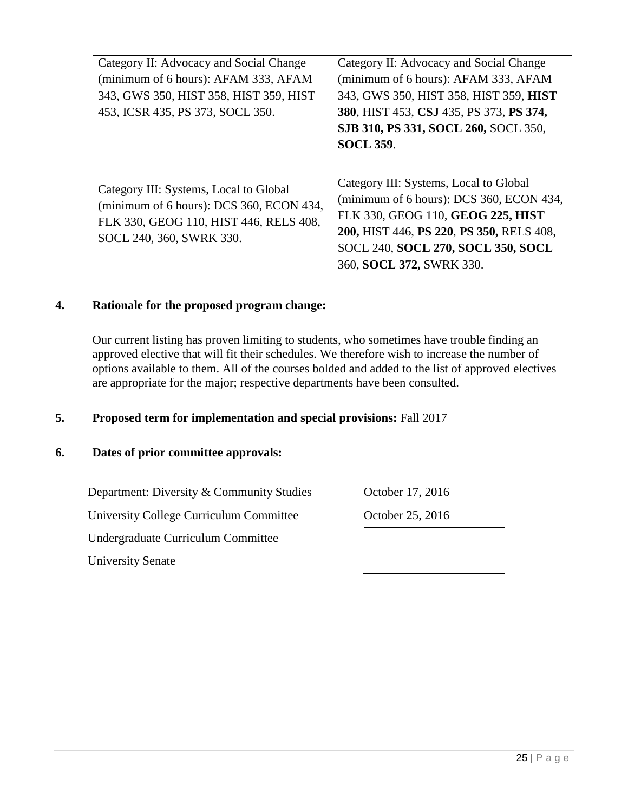| Category II: Advocacy and Social Change  | Category II: Advocacy and Social Change                                            |
|------------------------------------------|------------------------------------------------------------------------------------|
| (minimum of 6 hours): AFAM 333, AFAM     | (minimum of 6 hours): AFAM 333, AFAM                                               |
| 343, GWS 350, HIST 358, HIST 359, HIST   | 343, GWS 350, HIST 358, HIST 359, HIST                                             |
| 453, ICSR 435, PS 373, SOCL 350.         | 380, HIST 453, CSJ 435, PS 373, PS 374,                                            |
|                                          | SJB 310, PS 331, SOCL 260, SOCL 350,                                               |
|                                          | <b>SOCL 359.</b>                                                                   |
|                                          |                                                                                    |
| Category III: Systems, Local to Global   | Category III: Systems, Local to Global<br>(minimum of 6 hours): DCS 360, ECON 434, |
| (minimum of 6 hours): DCS 360, ECON 434, |                                                                                    |
| FLK 330, GEOG 110, HIST 446, RELS 408,   | FLK 330, GEOG 110, GEOG 225, HIST                                                  |
| SOCL 240, 360, SWRK 330.                 | 200, HIST 446, PS 220, PS 350, RELS 408,                                           |
|                                          | SOCL 240, SOCL 270, SOCL 350, SOCL                                                 |
|                                          | 360, SOCL 372, SWRK 330.                                                           |
|                                          |                                                                                    |

### **4. Rationale for the proposed program change:**

Our current listing has proven limiting to students, who sometimes have trouble finding an approved elective that will fit their schedules. We therefore wish to increase the number of options available to them. All of the courses bolded and added to the list of approved electives are appropriate for the major; respective departments have been consulted.

### **5. Proposed term for implementation and special provisions:** Fall 2017

### **6. Dates of prior committee approvals:**

Department: Diversity & Community Studies October 17, 2016

University College Curriculum Committee October 25, 2016

Undergraduate Curriculum Committee

University Senate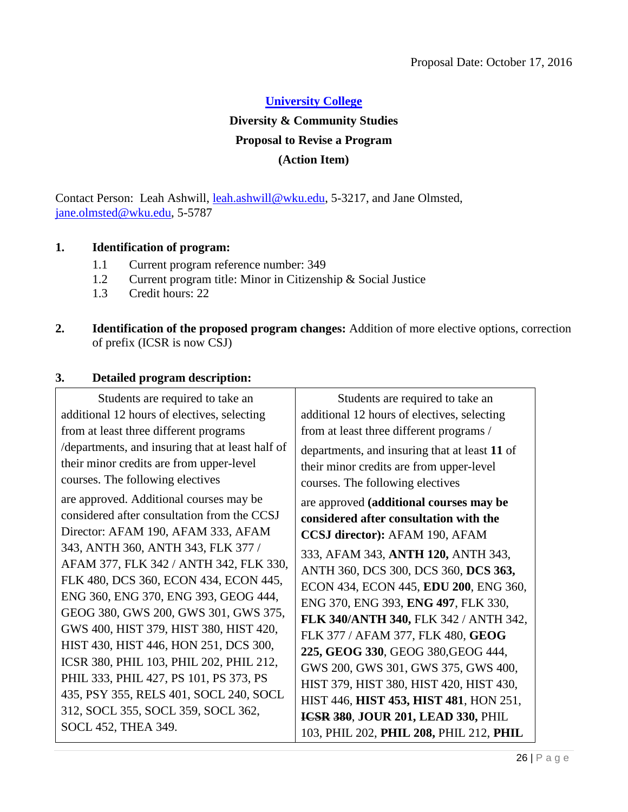**Diversity & Community Studies**

### **Proposal to Revise a Program**

### <span id="page-25-0"></span>**(Action Item)**

Contact Person: Leah Ashwill, [leah.ashwill@wku.edu,](mailto:leah.ashwill@wku.edu) 5-3217, and Jane Olmsted, [jane.olmsted@wku.edu,](mailto:jane.olmsted@wku.edu) 5-5787

### **1. Identification of program:**

- 1.1 Current program reference number: 349
- 1.2 Current program title: Minor in Citizenship & Social Justice
- 1.3 Credit hours: 22
- **2. Identification of the proposed program changes:** Addition of more elective options, correction of prefix (ICSR is now CSJ)

### **3. Detailed program description:**

Students are required to take an additional 12 hours of electives, selecting from at least three different programs /departments, and insuring that at least half of their minor credits are from upper-level courses. The following electives are approved. Additional courses may be considered after consultation from the CCSJ Director: AFAM 190, AFAM 333, AFAM 343, ANTH 360, ANTH 343, FLK 377 / AFAM 377, FLK 342 / ANTH 342, FLK 330, FLK 480, DCS 360, ECON 434, ECON 445, ENG 360, ENG 370, ENG 393, GEOG 444, GEOG 380, GWS 200, GWS 301, GWS 375, GWS 400, HIST 379, HIST 380, HIST 420, HIST 430, HIST 446, HON 251, DCS 300, ICSR 380, PHIL 103, PHIL 202, PHIL 212, PHIL 333, PHIL 427, PS 101, PS 373, PS 435, PSY 355, RELS 401, SOCL 240, SOCL 312, SOCL 355, SOCL 359, SOCL 362, SOCL 452, THEA 349.

Students are required to take an additional 12 hours of electives, selecting from at least three different programs / departments, and insuring that at least **11** of their minor credits are from upper-level courses. The following electives are approved **(additional courses may be considered after consultation with the CCSJ director):** AFAM 190, AFAM 333, AFAM 343, **ANTH 120,** ANTH 343, ANTH 360, DCS 300, DCS 360, **DCS 363,**  ECON 434, ECON 445, **EDU 200**, ENG 360, ENG 370, ENG 393, **ENG 497**, FLK 330, **FLK 340/ANTH 340,** FLK 342 / ANTH 342, FLK 377 / AFAM 377, FLK 480, **GEOG 225, GEOG 330**, GEOG 380,GEOG 444, GWS 200, GWS 301, GWS 375, GWS 400, HIST 379, HIST 380, HIST 420, HIST 430, HIST 446, **HIST 453, HIST 481**, HON 251, **ICSR 380**, **JOUR 201, LEAD 330,** PHIL 103, PHIL 202, **PHIL 208,** PHIL 212, **PHIL**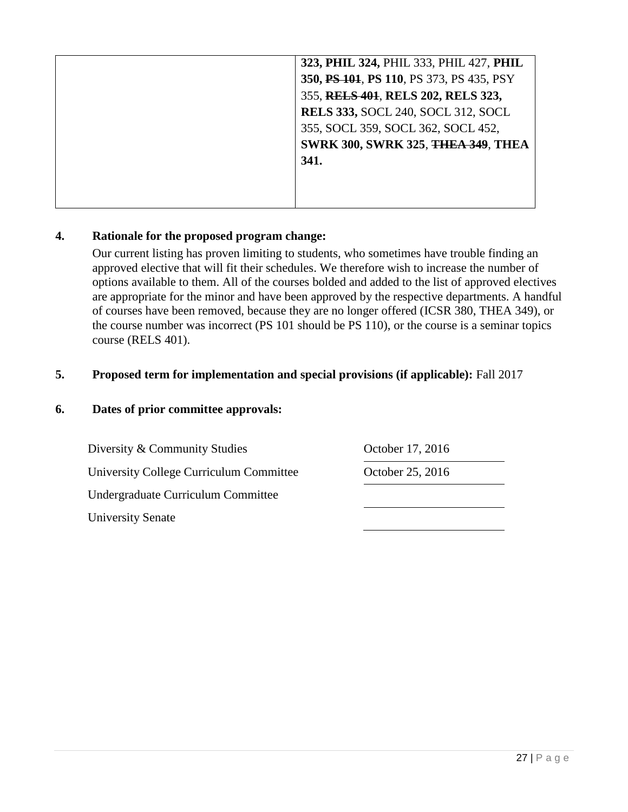| 323, PHIL 324, PHIL 333, PHIL 427, PHIL   |
|-------------------------------------------|
| 350, PS 101, PS 110, PS 373, PS 435, PSY  |
| 355, RELS 401, RELS 202, RELS 323,        |
| <b>RELS 333, SOCL 240, SOCL 312, SOCL</b> |
| 355, SOCL 359, SOCL 362, SOCL 452,        |
| <b>SWRK 300, SWRK 325, THEA 349, THEA</b> |
| 341.                                      |
|                                           |
|                                           |
|                                           |

### **4. Rationale for the proposed program change:**

Our current listing has proven limiting to students, who sometimes have trouble finding an approved elective that will fit their schedules. We therefore wish to increase the number of options available to them. All of the courses bolded and added to the list of approved electives are appropriate for the minor and have been approved by the respective departments. A handful of courses have been removed, because they are no longer offered (ICSR 380, THEA 349), or the course number was incorrect (PS 101 should be PS 110), or the course is a seminar topics course (RELS 401).

### **5. Proposed term for implementation and special provisions (if applicable):** Fall 2017

### **6. Dates of prior committee approvals:**

Diversity & Community Studies **October 17, 2016** University College Curriculum Committee October 25, 2016 Undergraduate Curriculum Committee University Senate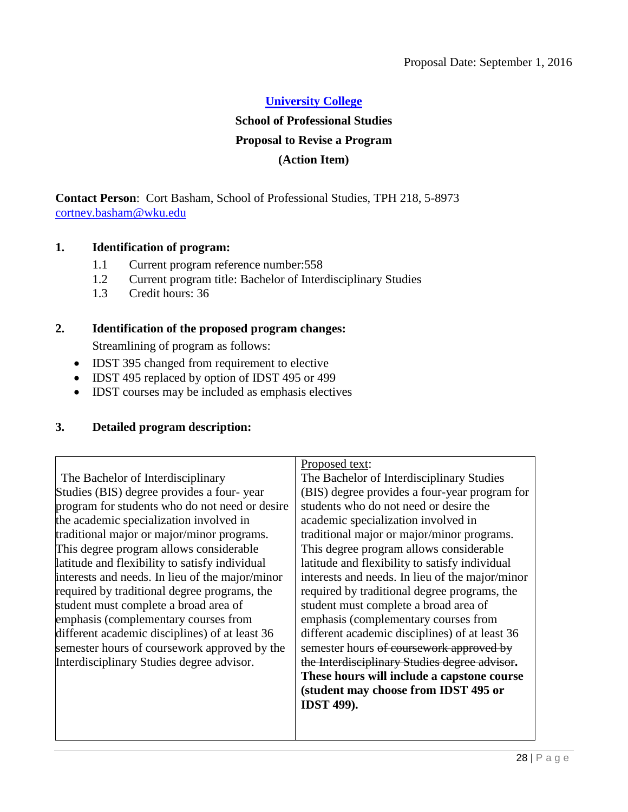### **School of Professional Studies**

### **Proposal to Revise a Program**

### <span id="page-27-0"></span>**(Action Item)**

**Contact Person**: Cort Basham, School of Professional Studies, TPH 218, 5-8973 [cortney.basham@wku.edu](mailto:cortney.basham@wku.edu)

### **1. Identification of program:**

- 1.1 Current program reference number:558
- 1.2 Current program title: Bachelor of Interdisciplinary Studies
- 1.3 Credit hours: 36

### **2. Identification of the proposed program changes:**

Streamlining of program as follows:

- IDST 395 changed from requirement to elective
- IDST 495 replaced by option of IDST 495 or 499
- IDST courses may be included as emphasis electives

### **3. Detailed program description:**

The Bachelor of Interdisciplinary Studies (BIS) degree provides a four- year program for students who do not need or desire the academic specialization involved in traditional major or major/minor programs. This degree program allows considerable latitude and flexibility to satisfy individual interests and needs. In lieu of the major/minor required by traditional degree programs, the student must complete a broad area of emphasis (complementary courses from different academic disciplines) of at least 36 semester hours of coursework approved by the Interdisciplinary Studies degree advisor.

Proposed text: The Bachelor of Interdisciplinary Studies (BIS) degree provides a four-year program for students who do not need or desire the academic specialization involved in traditional major or major/minor programs. This degree program allows considerable latitude and flexibility to satisfy individual interests and needs. In lieu of the major/minor required by traditional degree programs, the student must complete a broad area of emphasis (complementary courses from different academic disciplines) of at least 36 semester hours of coursework approved by the Interdisciplinary Studies degree advisor**. These hours will include a capstone course (student may choose from IDST 495 or IDST 499).**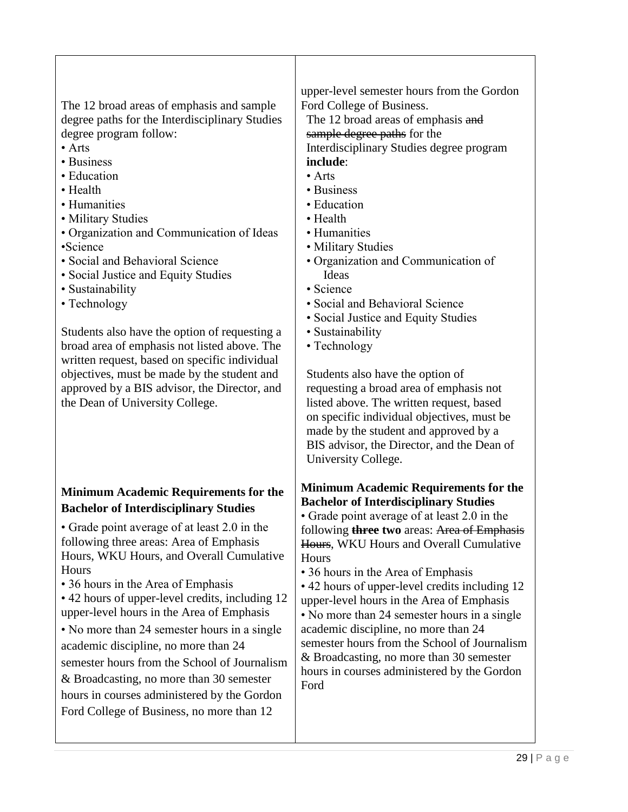The 12 broad areas of emphasis and sample degree paths for the Interdisciplinary Studies degree program follow:

- Arts
- Business
- Education
- Health
- Humanities
- Military Studies
- Organization and Communication of Ideas •Science
- Social and Behavioral Science
- Social Justice and Equity Studies
- Sustainability
- Technology

Students also have the option of requesting a broad area of emphasis not listed above. The written request, based on specific individual objectives, must be made by the student and approved by a BIS advisor, the Director, and the Dean of University College.

### **Minimum Academic Requirements for the Bachelor of Interdisciplinary Studies**

• Grade point average of at least 2.0 in the following three areas: Area of Emphasis Hours, WKU Hours, and Overall Cumulative **Hours** 

• 36 hours in the Area of Emphasis

• 42 hours of upper-level credits, including 12 upper-level hours in the Area of Emphasis

• No more than 24 semester hours in a single academic discipline, no more than 24 semester hours from the School of Journalism & Broadcasting, no more than 30 semester hours in courses administered by the Gordon Ford College of Business, no more than 12

upper-level semester hours from the Gordon Ford College of Business.

The 12 broad areas of emphasis and sample degree paths for the Interdisciplinary Studies degree program **include**:

- Arts
- Business
- Education
- Health
- Humanities
- Military Studies
- Organization and Communication of Ideas
- Science
- Social and Behavioral Science
- Social Justice and Equity Studies
- Sustainability
- Technology

Students also have the option of requesting a broad area of emphasis not listed above. The written request, based on specific individual objectives, must be made by the student and approved by a BIS advisor, the Director, and the Dean of University College.

### **Minimum Academic Requirements for the Bachelor of Interdisciplinary Studies**

• Grade point average of at least 2.0 in the following **three two** areas: Area of Emphasis Hours, WKU Hours and Overall Cumulative **Hours** 

• 36 hours in the Area of Emphasis

• 42 hours of upper-level credits including 12 upper-level hours in the Area of Emphasis

• No more than 24 semester hours in a single academic discipline, no more than 24 semester hours from the School of Journalism & Broadcasting, no more than 30 semester hours in courses administered by the Gordon Ford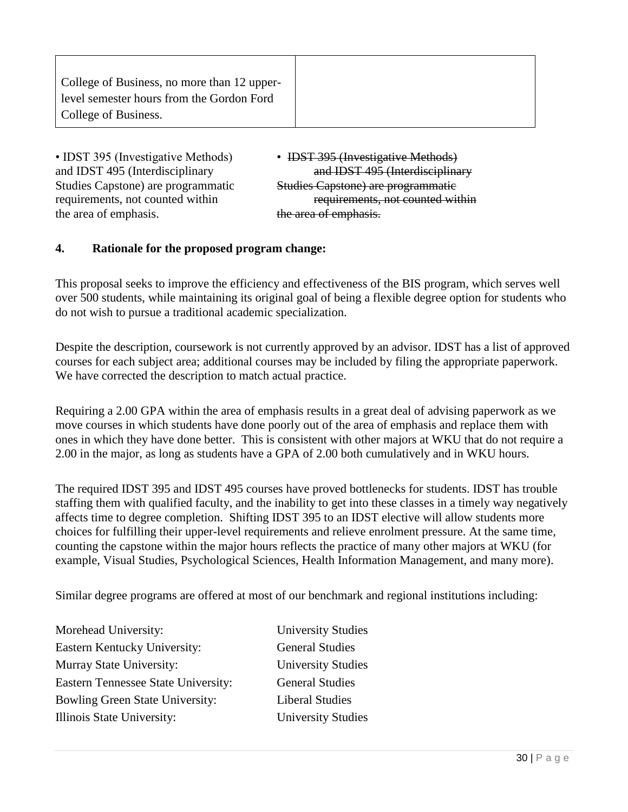| College of Business, no more than 12 upper- |
|---------------------------------------------|
| level semester hours from the Gordon Ford   |
| College of Business.                        |
|                                             |

• IDST 395 (Investigative Methods) • IDST 395 (Investigative Methods) Studies Capstone) are programmatic Studies Capstone) are programmatic the area of emphasis. the area of emphasis.

and IDST 495 (Interdisciplinary and IDST 495 (Interdisciplinary requirements, not counted within requirements, not counted within

### **4. Rationale for the proposed program change:**

This proposal seeks to improve the efficiency and effectiveness of the BIS program, which serves well over 500 students, while maintaining its original goal of being a flexible degree option for students who do not wish to pursue a traditional academic specialization.

Despite the description, coursework is not currently approved by an advisor. IDST has a list of approved courses for each subject area; additional courses may be included by filing the appropriate paperwork. We have corrected the description to match actual practice.

Requiring a 2.00 GPA within the area of emphasis results in a great deal of advising paperwork as we move courses in which students have done poorly out of the area of emphasis and replace them with ones in which they have done better. This is consistent with other majors at WKU that do not require a 2.00 in the major, as long as students have a GPA of 2.00 both cumulatively and in WKU hours.

The required IDST 395 and IDST 495 courses have proved bottlenecks for students. IDST has trouble staffing them with qualified faculty, and the inability to get into these classes in a timely way negatively affects time to degree completion. Shifting IDST 395 to an IDST elective will allow students more choices for fulfilling their upper-level requirements and relieve enrolment pressure. At the same time, counting the capstone within the major hours reflects the practice of many other majors at WKU (for example, Visual Studies, Psychological Sciences, Health Information Management, and many more).

Similar degree programs are offered at most of our benchmark and regional institutions including:

Morehead University: University Studies Eastern Kentucky University: General Studies Murray State University: University Studies Eastern Tennessee State University: General Studies Bowling Green State University: Liberal Studies Illinois State University: University Studies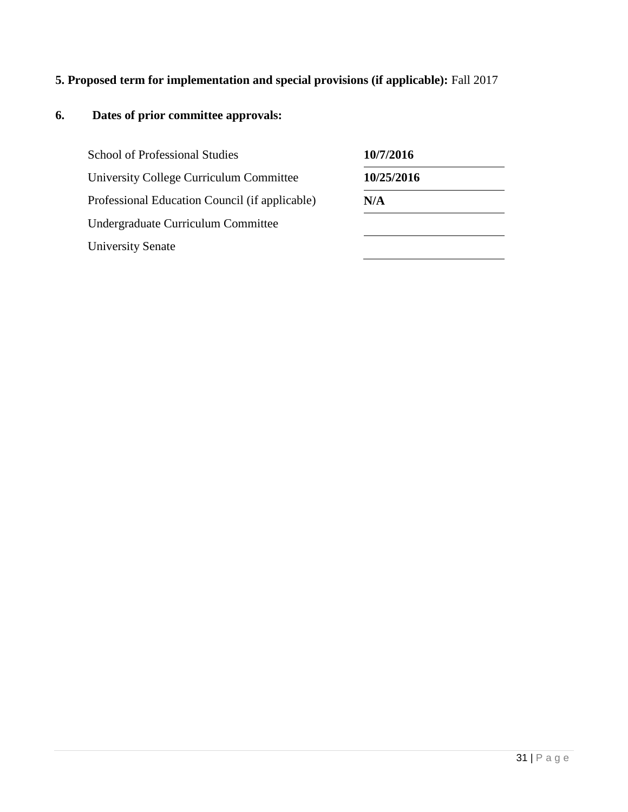# **5. Proposed term for implementation and special provisions (if applicable):** Fall 2017

| <b>School of Professional Studies</b>          | 10/7/2016  |
|------------------------------------------------|------------|
| University College Curriculum Committee        | 10/25/2016 |
| Professional Education Council (if applicable) | N/A        |
| Undergraduate Curriculum Committee             |            |
| <b>University Senate</b>                       |            |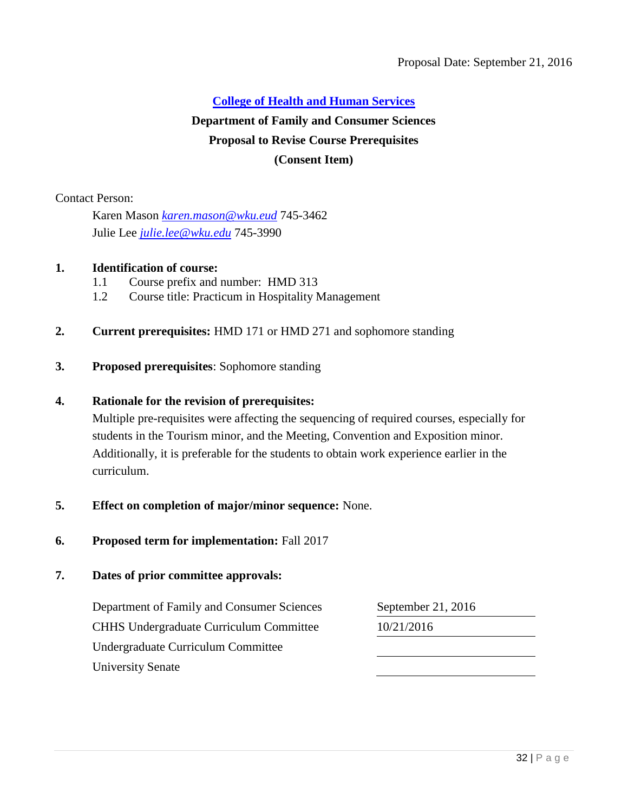# **[College of Health and Human Services](#page-2-0) Department of Family and Consumer Sciences Proposal to Revise Course Prerequisites (Consent Item)**

Contact Person:

Karen Mason *[karen.mason@wku.eud](mailto:karen.mason@wku.eud)* 745-3462 Julie Lee *[julie.lee@wku.edu](mailto:julie.lee@wku.edu)* 745-3990

### **1. Identification of course:**

- <span id="page-31-0"></span>1.1 Course prefix and number: HMD 313
- 1.2 Course title: Practicum in Hospitality Management
- **2. Current prerequisites:** HMD 171 or HMD 271 and sophomore standing
- **3. Proposed prerequisites**: Sophomore standing

### **4. Rationale for the revision of prerequisites:**

Multiple pre-requisites were affecting the sequencing of required courses, especially for students in the Tourism minor, and the Meeting, Convention and Exposition minor. Additionally, it is preferable for the students to obtain work experience earlier in the curriculum.

- **5. Effect on completion of major/minor sequence:** None.
- **6. Proposed term for implementation:** Fall 2017

### **7. Dates of prior committee approvals:**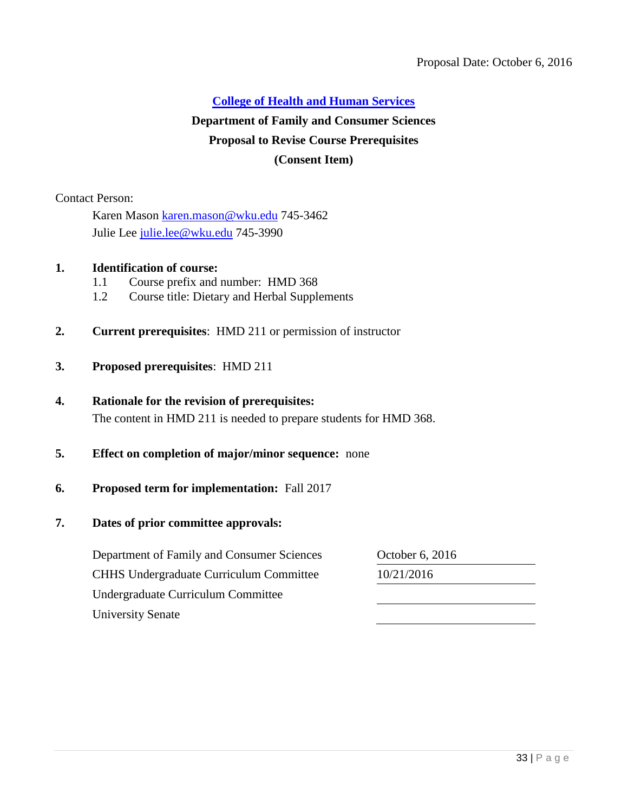# **[College of Health and Human Services](#page-2-0) Department of Family and Consumer Sciences Proposal to Revise Course Prerequisites (Consent Item)**

Contact Person:

Karen Mason [karen.mason@wku.edu](mailto:karen.mason@wku.edu) 745-3462 Julie Lee [julie.lee@wku.edu](mailto:julie.lee@wku.edu) 745-3990

### **1. Identification of course:**

- <span id="page-32-0"></span>1.1 Course prefix and number: HMD 368
- 1.2 Course title: Dietary and Herbal Supplements
- **2. Current prerequisites**: HMD 211 or permission of instructor
- **3. Proposed prerequisites**: HMD 211

### **4. Rationale for the revision of prerequisites:**

The content in HMD 211 is needed to prepare students for HMD 368.

### **5. Effect on completion of major/minor sequence:** none

### **6. Proposed term for implementation:** Fall 2017

### **7. Dates of prior committee approvals:**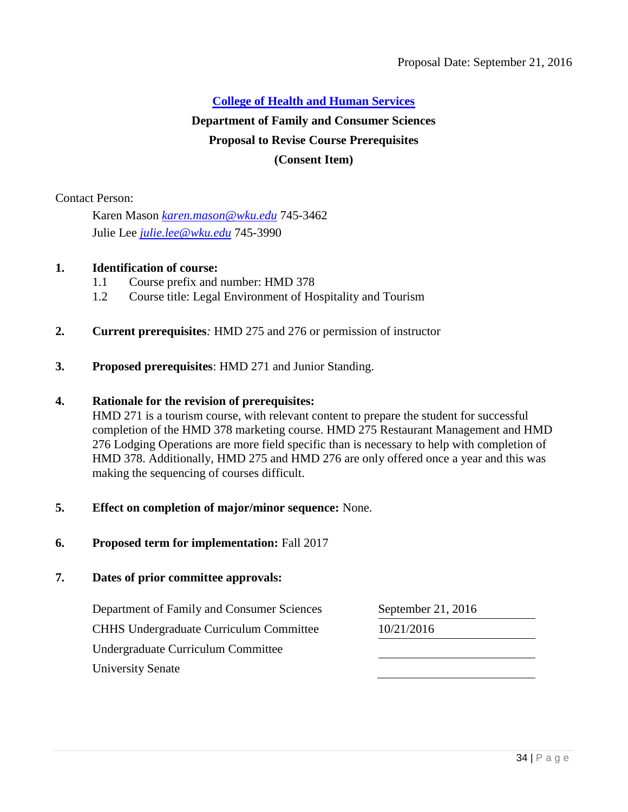# **[College of Health and Human Services](#page-2-0) Department of Family and Consumer Sciences Proposal to Revise Course Prerequisites (Consent Item)**

Contact Person:

Karen Mason *[karen.mason@wku.edu](mailto:karen.mason@wku.edu)* 745-3462 Julie Lee *[julie.lee@wku.edu](mailto:julie.lee@wku.edu)* 745-3990

### **1. Identification of course:**

- <span id="page-33-0"></span>1.1 Course prefix and number: HMD 378
- 1.2 Course title: Legal Environment of Hospitality and Tourism
- **2. Current prerequisites***:* HMD 275 and 276 or permission of instructor
- **3. Proposed prerequisites**: HMD 271 and Junior Standing.

### **4. Rationale for the revision of prerequisites:**

HMD 271 is a tourism course, with relevant content to prepare the student for successful completion of the HMD 378 marketing course. HMD 275 Restaurant Management and HMD 276 Lodging Operations are more field specific than is necessary to help with completion of HMD 378. Additionally, HMD 275 and HMD 276 are only offered once a year and this was making the sequencing of courses difficult.

- **5. Effect on completion of major/minor sequence:** None.
- **6. Proposed term for implementation:** Fall 2017

### **7. Dates of prior committee approvals:**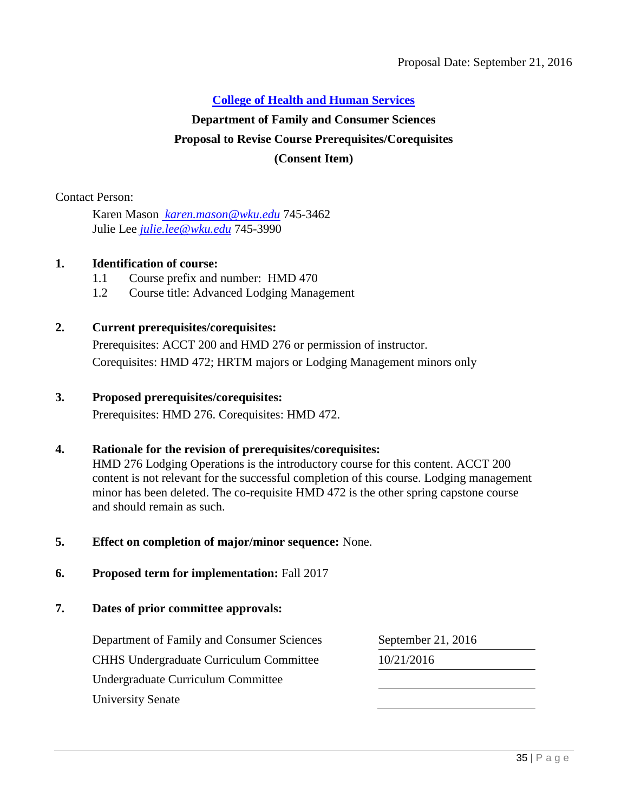### **[College of Health and Human Services](#page-2-0)**

# **Department of Family and Consumer Sciences Proposal to Revise Course Prerequisites/Corequisites (Consent Item)**

Contact Person:

Karen Mason *[karen.mason@wku.edu](mailto:%20karen.mason@wku.edu)* 745-3462 Julie Lee *[julie.lee@wku.edu](mailto:julie.lee@wku.edu)* 745-3990

### **1. Identification of course:**

- <span id="page-34-0"></span>1.1 Course prefix and number: HMD 470
- 1.2 Course title: Advanced Lodging Management

### **2. Current prerequisites/corequisites:**

Prerequisites: ACCT 200 and HMD 276 or permission of instructor. Corequisites: HMD 472; HRTM majors or Lodging Management minors only

### **3. Proposed prerequisites/corequisites:**

Prerequisites: HMD 276. Corequisites: HMD 472.

#### **4. Rationale for the revision of prerequisites/corequisites:**

HMD 276 Lodging Operations is the introductory course for this content. ACCT 200 content is not relevant for the successful completion of this course. Lodging management minor has been deleted. The co-requisite HMD 472 is the other spring capstone course and should remain as such.

- **5. Effect on completion of major/minor sequence:** None.
- **6. Proposed term for implementation:** Fall 2017
- **7. Dates of prior committee approvals:**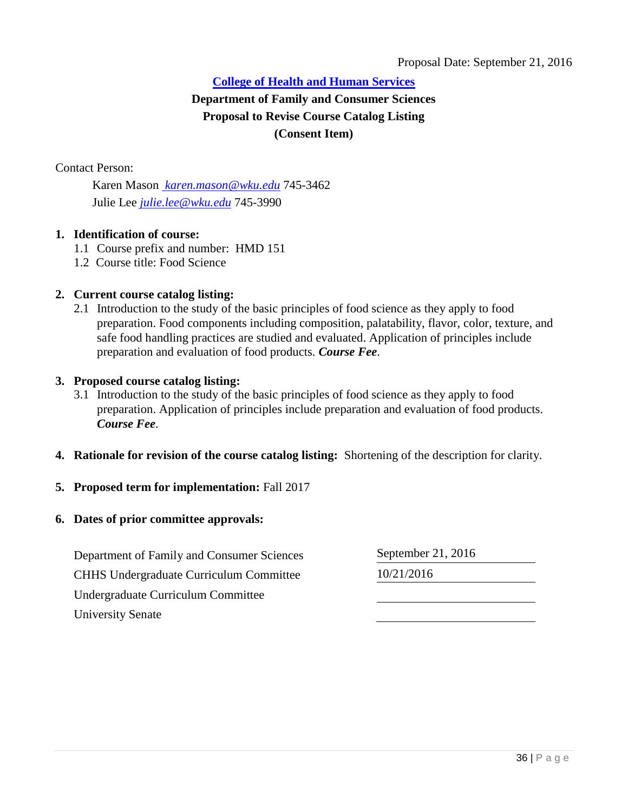### Proposal Date: September 21, 2016

### **College of [Health and Human Services](#page-2-0) Department of Family and Consumer Sciences Proposal to Revise Course Catalog Listing (Consent Item)**

Contact Person:

<span id="page-35-0"></span>Karen Mason *[karen.mason@wku.edu](mailto:%20karen.mason@wku.edu)* 745-3462 Julie Lee *[julie.lee@wku.edu](mailto:julie.lee@wku.edu)* 745-3990

### **1. Identification of course:**

- 1.1 Course prefix and number: HMD 151
- 1.2 Course title: Food Science

### **2. Current course catalog listing:**

2.1 Introduction to the study of the basic principles of food science as they apply to food preparation. Food components including composition, palatability, flavor, color, texture, and safe food handling practices are studied and evaluated. Application of principles include preparation and evaluation of food products. *Course Fee*.

#### **3. Proposed course catalog listing:**

- 3.1 Introduction to the study of the basic principles of food science as they apply to food preparation. Application of principles include preparation and evaluation of food products. *Course Fee*.
- **4. Rationale for revision of the course catalog listing:** Shortening of the description for clarity.

### **5. Proposed term for implementation:** Fall 2017

#### **6. Dates of prior committee approvals:**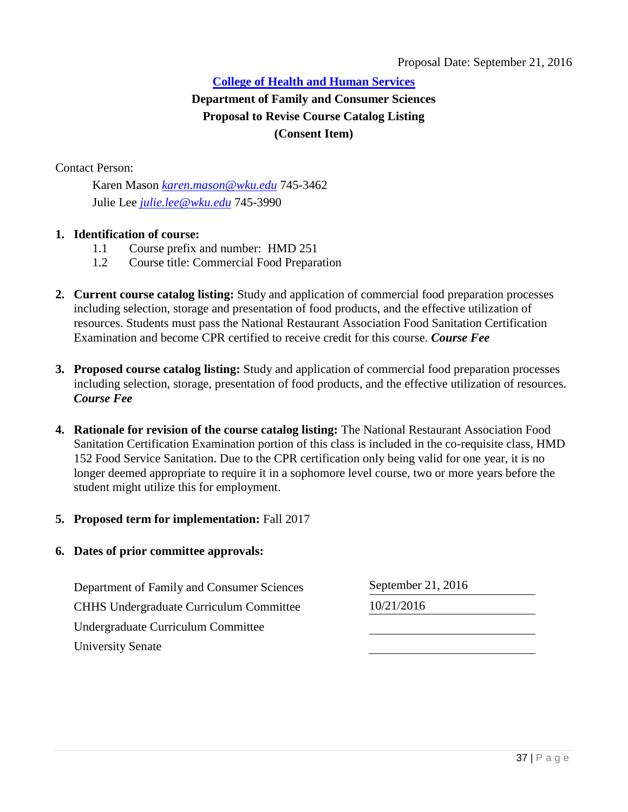## **[College of Health and Human Services](#page-2-0) Department of Family and Consumer Sciences Proposal to Revise Course Catalog Listing (Consent Item)**

Contact Person:

Karen Mason *[karen.mason@wku.edu](mailto:karen.mason@wku.edu)* 745-3462 Julie Lee *[julie.lee@wku.edu](mailto:julie.lee@wku.edu)* 745-3990

#### **1. Identification of course:**

- 1.1 Course prefix and number: HMD 251
- 1.2 Course title: Commercial Food Preparation
- **2. Current course catalog listing:** Study and application of commercial food preparation processes including selection, storage and presentation of food products, and the effective utilization of resources. Students must pass the National Restaurant Association Food Sanitation Certification Examination and become CPR certified to receive credit for this course. *Course Fee*
- **3. Proposed course catalog listing:** Study and application of commercial food preparation processes including selection, storage, presentation of food products, and the effective utilization of resources. *Course Fee*
- **4. Rationale for revision of the course catalog listing:** The National Restaurant Association Food Sanitation Certification Examination portion of this class is included in the co-requisite class, HMD 152 Food Service Sanitation. Due to the CPR certification only being valid for one year, it is no longer deemed appropriate to require it in a sophomore level course, two or more years before the student might utilize this for employment.

#### **5. Proposed term for implementation:** Fall 2017

#### **6. Dates of prior committee approvals:**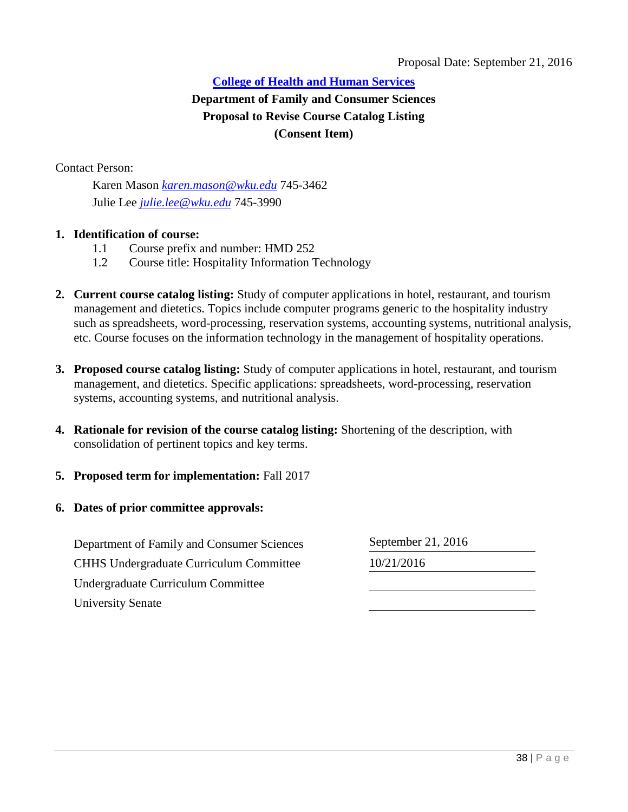## **[College of Health and Human Services](#page-3-0) Department of Family and Consumer Sciences Proposal to Revise Course Catalog Listing (Consent Item)**

Contact Person:

Karen Mason *[karen.mason@wku.edu](mailto:karen.mason@wku.edu)* 745-3462 Julie Lee *[julie.lee@wku.edu](mailto:julie.lee@wku.edu)* 745-3990

#### **1. Identification of course:**

- 1.1 Course prefix and number: HMD 252
- 1.2 Course title: Hospitality Information Technology
- **2. Current course catalog listing:** Study of computer applications in hotel, restaurant, and tourism management and dietetics. Topics include computer programs generic to the hospitality industry such as spreadsheets, word-processing, reservation systems, accounting systems, nutritional analysis, etc. Course focuses on the information technology in the management of hospitality operations.
- **3. Proposed course catalog listing:** Study of computer applications in hotel, restaurant, and tourism management, and dietetics. Specific applications: spreadsheets, word-processing, reservation systems, accounting systems, and nutritional analysis.
- **4. Rationale for revision of the course catalog listing:** Shortening of the description, with consolidation of pertinent topics and key terms.
- **5. Proposed term for implementation:** Fall 2017
- **6. Dates of prior committee approvals:**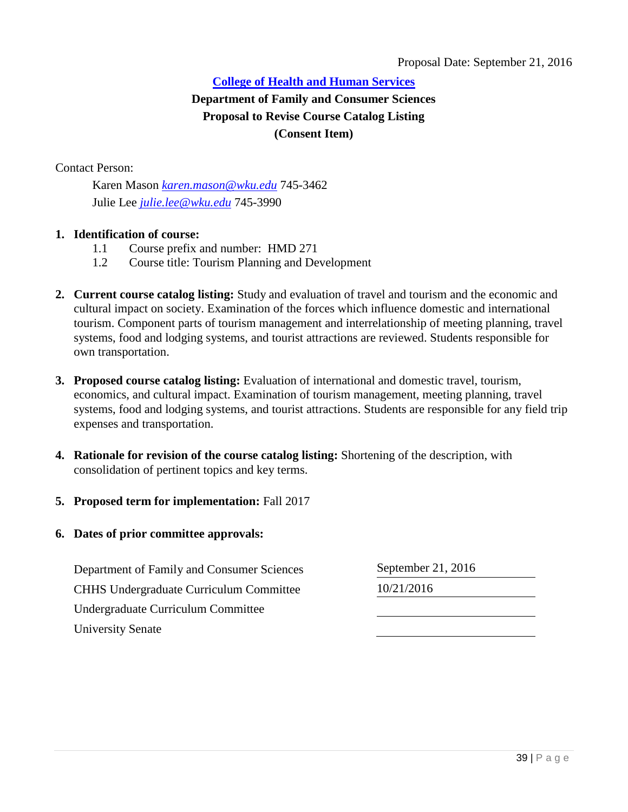## **[College of Health and Human Services](#page-3-0) Department of Family and Consumer Sciences Proposal to Revise Course Catalog Listing (Consent Item)**

Contact Person:

Karen Mason *[karen.mason@wku.edu](mailto:karen.mason@wku.edu)* 745-3462 Julie Lee *[julie.lee@wku.edu](mailto:julie.lee@wku.edu)* 745-3990

#### **1. Identification of course:**

- 1.1 Course prefix and number: HMD 271
- 1.2 Course title: Tourism Planning and Development
- **2. Current course catalog listing:** Study and evaluation of travel and tourism and the economic and cultural impact on society. Examination of the forces which influence domestic and international tourism. Component parts of tourism management and interrelationship of meeting planning, travel systems, food and lodging systems, and tourist attractions are reviewed. Students responsible for own transportation.
- **3. Proposed course catalog listing:** Evaluation of international and domestic travel, tourism, economics, and cultural impact. Examination of tourism management, meeting planning, travel systems, food and lodging systems, and tourist attractions. Students are responsible for any field trip expenses and transportation.
- **4. Rationale for revision of the course catalog listing:** Shortening of the description, with consolidation of pertinent topics and key terms.
- **5. Proposed term for implementation:** Fall 2017
- **6. Dates of prior committee approvals:**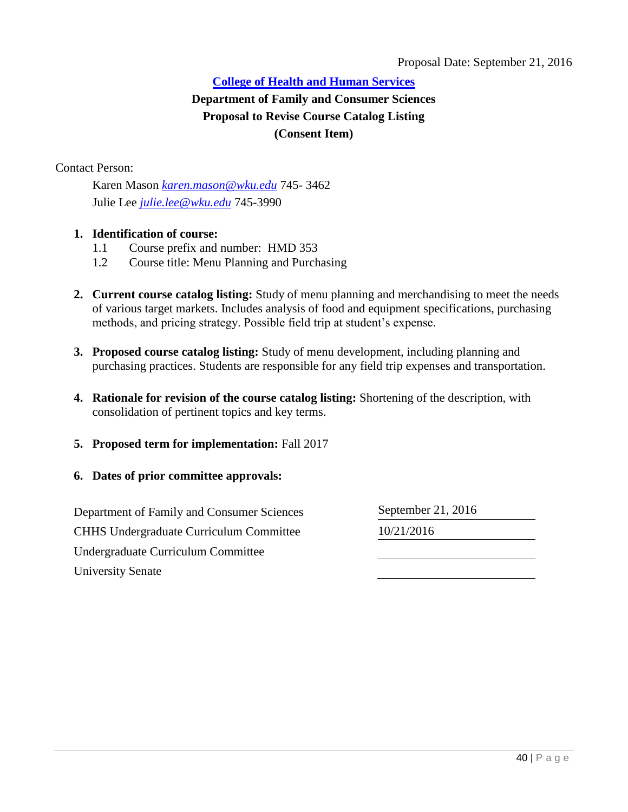## **[College of Health and Human Services](#page-3-0) Department of Family and Consumer Sciences Proposal to Revise Course Catalog Listing (Consent Item)**

Contact Person:

Karen Mason *[karen.mason@wku.edu](mailto:karen.mason@wku.edu)* 745- 3462 Julie Lee *[julie.lee@wku.edu](mailto:julie.lee@wku.edu)* 745-3990

#### **1. Identification of course:**

- 1.1 Course prefix and number: HMD 353
- 1.2 Course title: Menu Planning and Purchasing
- **2. Current course catalog listing:** Study of menu planning and merchandising to meet the needs of various target markets. Includes analysis of food and equipment specifications, purchasing methods, and pricing strategy. Possible field trip at student's expense.
- **3. Proposed course catalog listing:** Study of menu development, including planning and purchasing practices. Students are responsible for any field trip expenses and transportation.
- **4. Rationale for revision of the course catalog listing:** Shortening of the description, with consolidation of pertinent topics and key terms.
- **5. Proposed term for implementation:** Fall 2017
- **6. Dates of prior committee approvals:**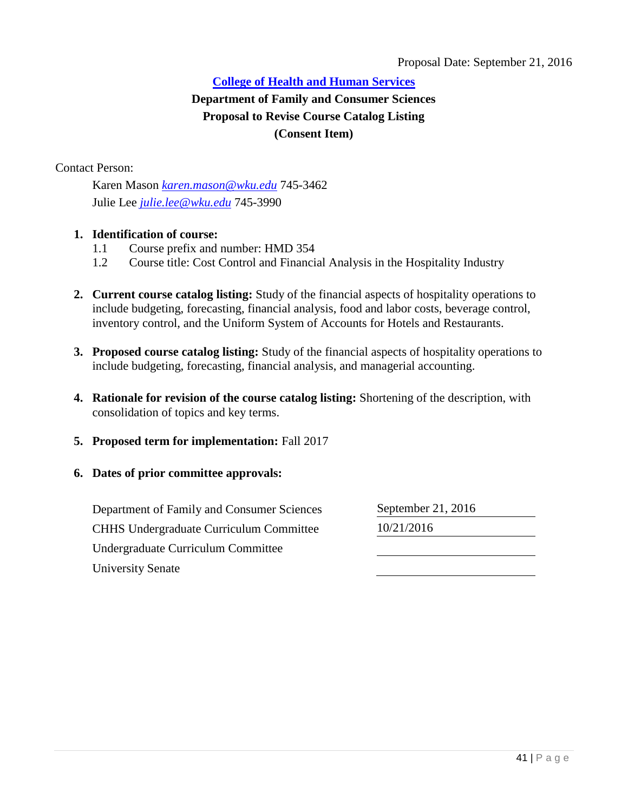## **[College of Health and Human Services](#page-3-0) Department of Family and Consumer Sciences Proposal to Revise Course Catalog Listing (Consent Item)**

Contact Person:

Karen Mason *[karen.mason@wku.edu](mailto:karen.mason@wku.edu)* 745-3462 Julie Lee *[julie.lee@wku.edu](mailto:julie.lee@wku.edu)* 745-3990

#### **1. Identification of course:**

- 1.1 Course prefix and number: HMD 354
- 1.2 Course title: Cost Control and Financial Analysis in the Hospitality Industry
- **2. Current course catalog listing:** Study of the financial aspects of hospitality operations to include budgeting, forecasting, financial analysis, food and labor costs, beverage control, inventory control, and the Uniform System of Accounts for Hotels and Restaurants.
- **3. Proposed course catalog listing:** Study of the financial aspects of hospitality operations to include budgeting, forecasting, financial analysis, and managerial accounting.
- **4. Rationale for revision of the course catalog listing:** Shortening of the description, with consolidation of topics and key terms.
- **5. Proposed term for implementation:** Fall 2017
- **6. Dates of prior committee approvals:**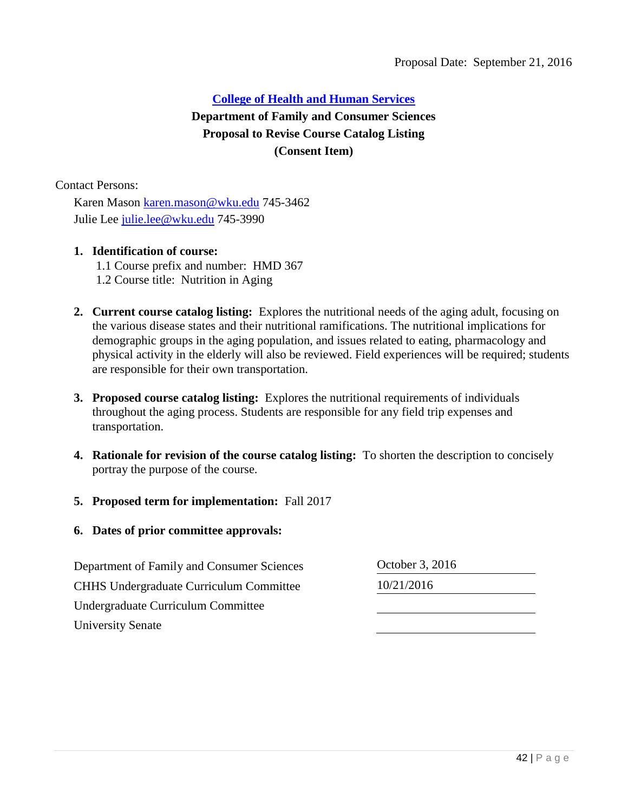## **[College of Health and Human Services](#page-3-0) Department of Family and Consumer Sciences Proposal to Revise Course Catalog Listing (Consent Item)**

Contact Persons:

 Karen Mason [karen.mason@wku.edu](mailto:karen.mason@wku.edu) 745-3462 Julie Lee [julie.lee@wku.edu](mailto:julie.lee@wku.edu) 745-3990

#### **1. Identification of course:**

- 1.1 Course prefix and number: HMD 367 1.2 Course title: Nutrition in Aging
- **2. Current course catalog listing:** Explores the nutritional needs of the aging adult, focusing on the various disease states and their nutritional ramifications. The nutritional implications for demographic groups in the aging population, and issues related to eating, pharmacology and physical activity in the elderly will also be reviewed. Field experiences will be required; students are responsible for their own transportation.
- **3. Proposed course catalog listing:** Explores the nutritional requirements of individuals throughout the aging process. Students are responsible for any field trip expenses and transportation.
- **4. Rationale for revision of the course catalog listing:** To shorten the description to concisely portray the purpose of the course.
- **5. Proposed term for implementation:** Fall 2017
- **6. Dates of prior committee approvals:**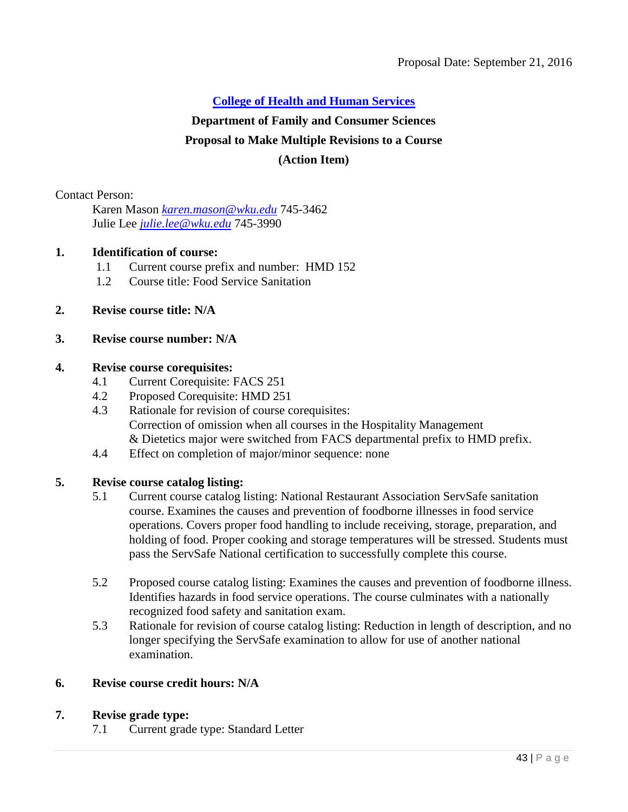## **Department of Family and Consumer Sciences**

## **Proposal to Make Multiple Revisions to a Course**

### **(Action Item)**

Contact Person:

Karen Mason *[karen.mason@wku.edu](mailto:karen.mason@wku.edu)* 745-3462 Julie Lee *[julie.lee@wku.edu](mailto:julie.lee@wku.edu)* 745-3990

#### **1. Identification of course:**

- 1.1 Current course prefix and number: HMD 152
- 1.2 Course title: Food Service Sanitation

## **2. Revise course title: N/A**

## **3. Revise course number: N/A**

#### **4. Revise course corequisites:**

- 4.1 Current Corequisite: FACS 251
- 4.2 Proposed Corequisite: HMD 251
- 4.3 Rationale for revision of course corequisites: Correction of omission when all courses in the Hospitality Management & Dietetics major were switched from FACS departmental prefix to HMD prefix.
- 4.4 Effect on completion of major/minor sequence: none

#### **5. Revise course catalog listing:**

- 5.1 Current course catalog listing: National Restaurant Association ServSafe sanitation course. Examines the causes and prevention of foodborne illnesses in food service operations. Covers proper food handling to include receiving, storage, preparation, and holding of food. Proper cooking and storage temperatures will be stressed. Students must pass the ServSafe National certification to successfully complete this course.
- 5.2 Proposed course catalog listing: Examines the causes and prevention of foodborne illness. Identifies hazards in food service operations. The course culminates with a nationally recognized food safety and sanitation exam.
- 5.3 Rationale for revision of course catalog listing: Reduction in length of description, and no longer specifying the ServSafe examination to allow for use of another national examination.

## **6. Revise course credit hours: N/A**

#### **7. Revise grade type:**

7.1 Current grade type: Standard Letter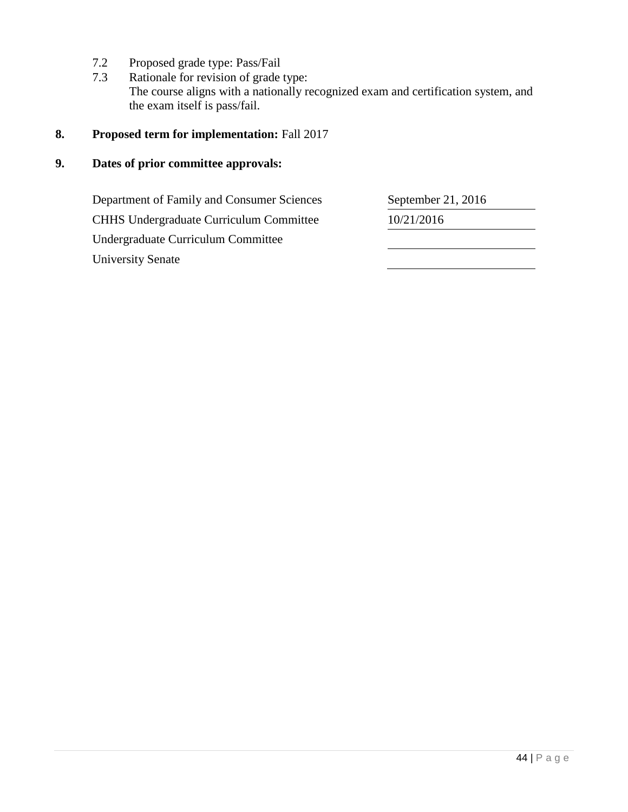- 7.2 Proposed grade type: Pass/Fail
- 7.3 Rationale for revision of grade type: The course aligns with a nationally recognized exam and certification system, and the exam itself is pass/fail.

## **8. Proposed term for implementation:** Fall 2017

## **9. Dates of prior committee approvals:**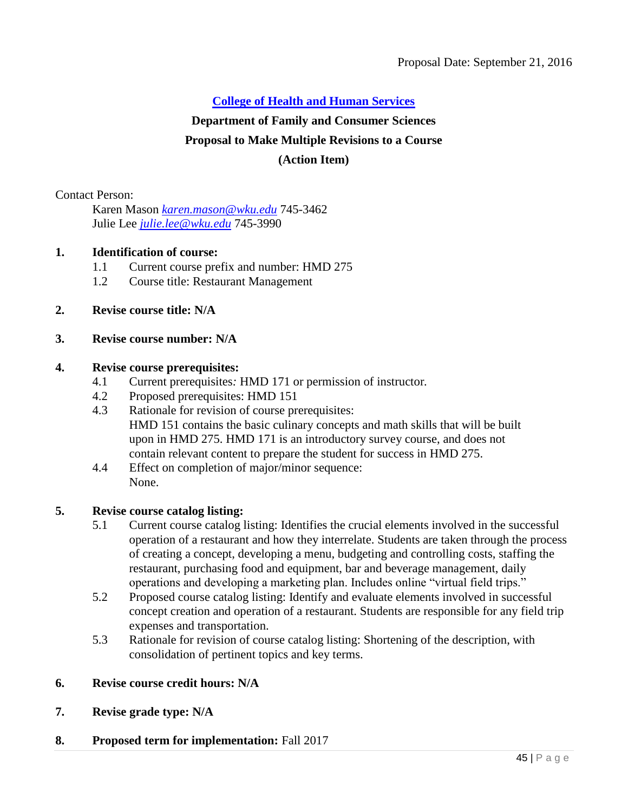## **Department of Family and Consumer Sciences**

## **Proposal to Make Multiple Revisions to a Course**

### **(Action Item)**

Contact Person:

Karen Mason *[karen.mason@wku.edu](mailto:karen.mason@wku.edu)* 745-3462 Julie Lee *[julie.lee@wku.edu](mailto:julie.lee@wku.edu)* 745-3990

#### **1. Identification of course:**

- 1.1 Current course prefix and number: HMD 275
- 1.2 Course title: Restaurant Management

## **2. Revise course title: N/A**

## **3. Revise course number: N/A**

#### **4. Revise course prerequisites:**

- 4.1 Current prerequisites*:* HMD 171 or permission of instructor*.*
- 4.2 Proposed prerequisites: HMD 151
- 4.3 Rationale for revision of course prerequisites: HMD 151 contains the basic culinary concepts and math skills that will be built upon in HMD 275. HMD 171 is an introductory survey course, and does not contain relevant content to prepare the student for success in HMD 275.
- 4.4 Effect on completion of major/minor sequence: None.

#### **5. Revise course catalog listing:**

- 5.1 Current course catalog listing: Identifies the crucial elements involved in the successful operation of a restaurant and how they interrelate. Students are taken through the process of creating a concept, developing a menu, budgeting and controlling costs, staffing the restaurant, purchasing food and equipment, bar and beverage management, daily operations and developing a marketing plan. Includes online "virtual field trips."
- 5.2 Proposed course catalog listing: Identify and evaluate elements involved in successful concept creation and operation of a restaurant. Students are responsible for any field trip expenses and transportation.
- 5.3 Rationale for revision of course catalog listing: Shortening of the description, with consolidation of pertinent topics and key terms.

### **6. Revise course credit hours: N/A**

**7. Revise grade type: N/A**

#### **8. Proposed term for implementation:** Fall 2017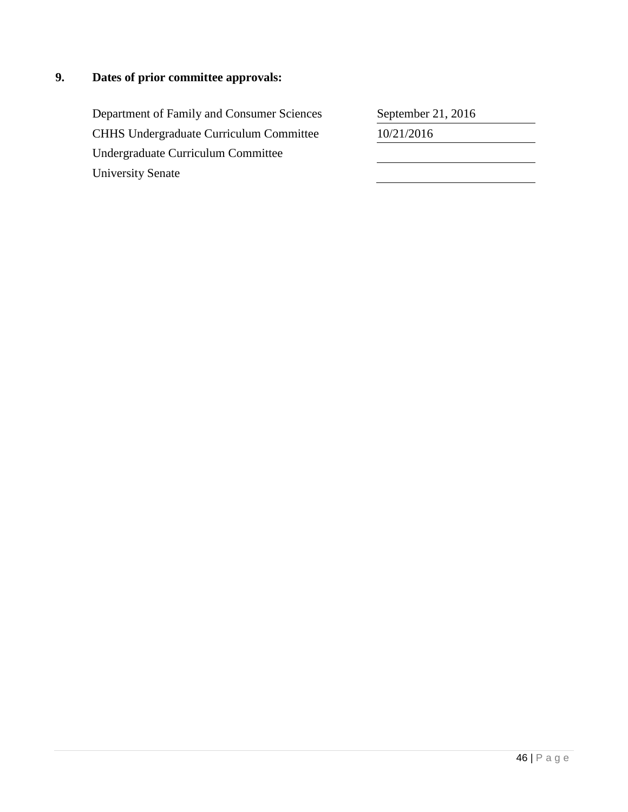## **9. Dates of prior committee approvals:**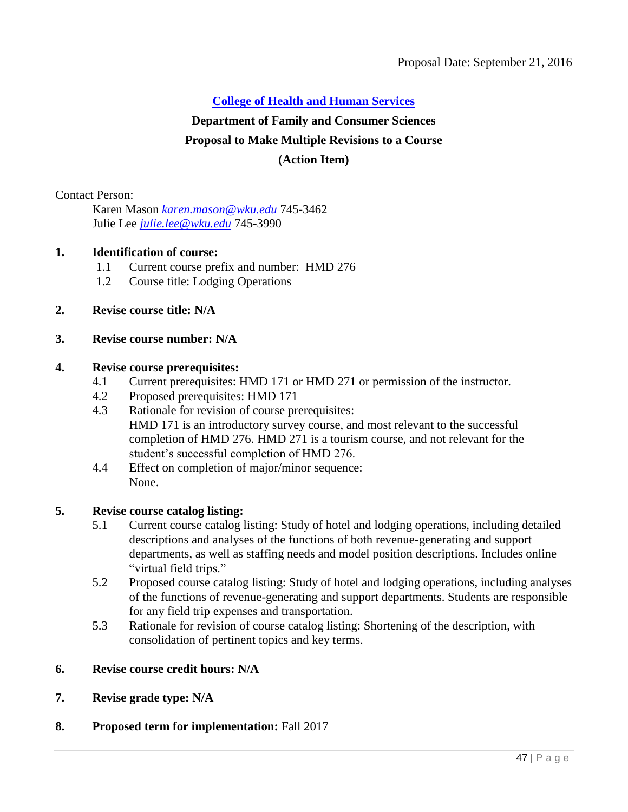## **Department of Family and Consumer Sciences**

## **Proposal to Make Multiple Revisions to a Course**

### **(Action Item)**

Contact Person:

Karen Mason *[karen.mason@wku.edu](mailto:karen.mason@wku.edu)* 745-3462 Julie Lee *[julie.lee@wku.edu](mailto:julie.lee@wku.edu)* 745-3990

#### **1. Identification of course:**

- 1.1 Current course prefix and number: HMD 276
- 1.2 Course title: Lodging Operations

## **2. Revise course title: N/A**

## **3. Revise course number: N/A**

#### **4. Revise course prerequisites:**

- 4.1 Current prerequisites: HMD 171 or HMD 271 or permission of the instructor.
- 4.2 Proposed prerequisites: HMD 171
- 4.3 Rationale for revision of course prerequisites: HMD 171 is an introductory survey course, and most relevant to the successful completion of HMD 276. HMD 271 is a tourism course, and not relevant for the student's successful completion of HMD 276.
- 4.4 Effect on completion of major/minor sequence: None.

#### **5. Revise course catalog listing:**

- 5.1 Current course catalog listing: Study of hotel and lodging operations, including detailed descriptions and analyses of the functions of both revenue-generating and support departments, as well as staffing needs and model position descriptions. Includes online "virtual field trips."
- 5.2 Proposed course catalog listing: Study of hotel and lodging operations, including analyses of the functions of revenue-generating and support departments. Students are responsible for any field trip expenses and transportation.
- 5.3 Rationale for revision of course catalog listing: Shortening of the description, with consolidation of pertinent topics and key terms.
- **6. Revise course credit hours: N/A**
- **7. Revise grade type: N/A**

#### **8. Proposed term for implementation:** Fall 2017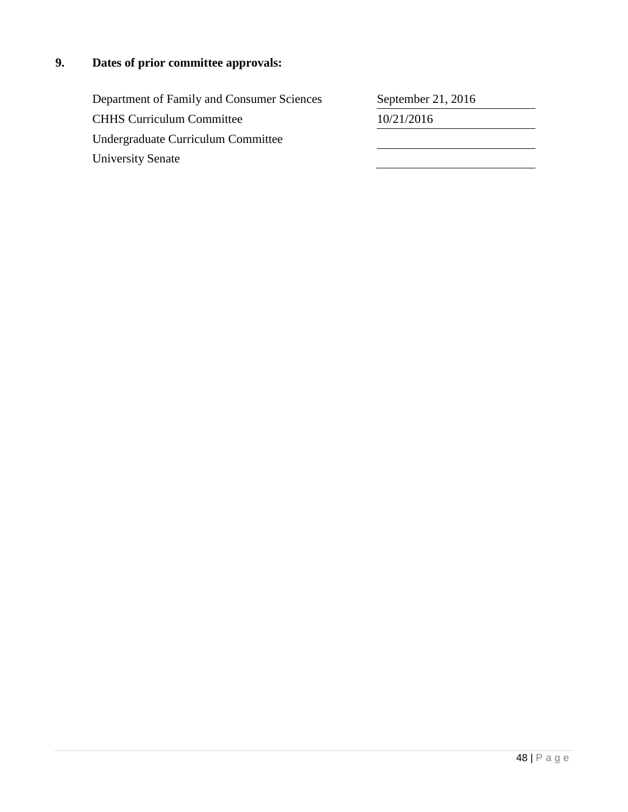# **9. Dates of prior committee approvals:**

| Department of Family and Consumer Sciences | September 21, 2016 |
|--------------------------------------------|--------------------|
| <b>CHHS Curriculum Committee</b>           | 10/21/2016         |
| Undergraduate Curriculum Committee         |                    |
| <b>University Senate</b>                   |                    |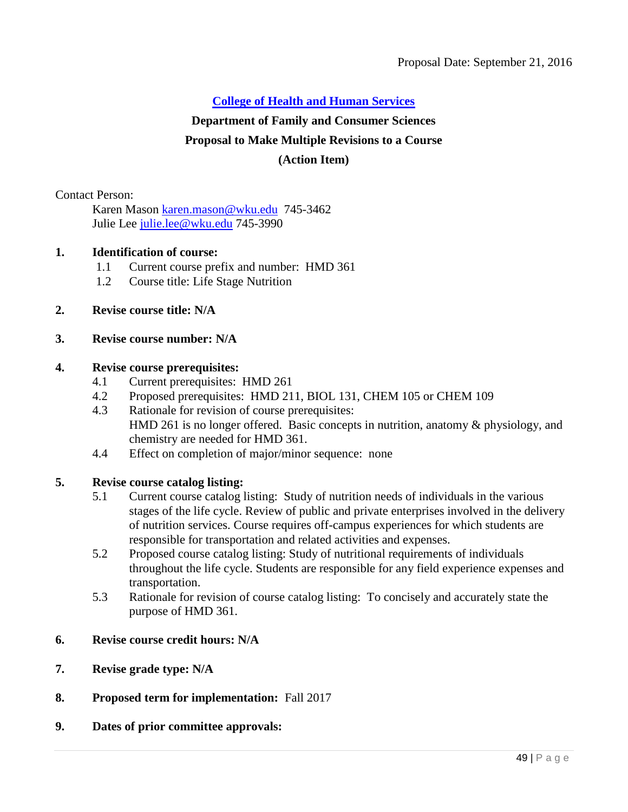#### **Department of Family and Consumer Sciences**

#### **Proposal to Make Multiple Revisions to a Course**

#### **(Action Item)**

Contact Person:

Karen Mason [karen.mason@wku.edu](mailto:karen.mason@wku.edu) 745-3462 Julie Lee [julie.lee@wku.edu](mailto:julie.lee@wku.edu) 745-3990

#### **1. Identification of course:**

- 1.1 Current course prefix and number: HMD 361
- 1.2 Course title: Life Stage Nutrition

#### **2. Revise course title: N/A**

#### **3. Revise course number: N/A**

#### **4. Revise course prerequisites:**

- 4.1 Current prerequisites: HMD 261
- 4.2 Proposed prerequisites: HMD 211, BIOL 131, CHEM 105 or CHEM 109
- 4.3 Rationale for revision of course prerequisites: HMD 261 is no longer offered. Basic concepts in nutrition, anatomy & physiology, and chemistry are needed for HMD 361.
- 4.4 Effect on completion of major/minor sequence: none

#### **5. Revise course catalog listing:**

- 5.1 Current course catalog listing: Study of nutrition needs of individuals in the various stages of the life cycle. Review of public and private enterprises involved in the delivery of nutrition services. Course requires off-campus experiences for which students are responsible for transportation and related activities and expenses.
- 5.2 Proposed course catalog listing: Study of nutritional requirements of individuals throughout the life cycle. Students are responsible for any field experience expenses and transportation.
- 5.3 Rationale for revision of course catalog listing: To concisely and accurately state the purpose of HMD 361.

#### **6. Revise course credit hours: N/A**

- **7. Revise grade type: N/A**
- **8. Proposed term for implementation:** Fall 2017
- **9. Dates of prior committee approvals:**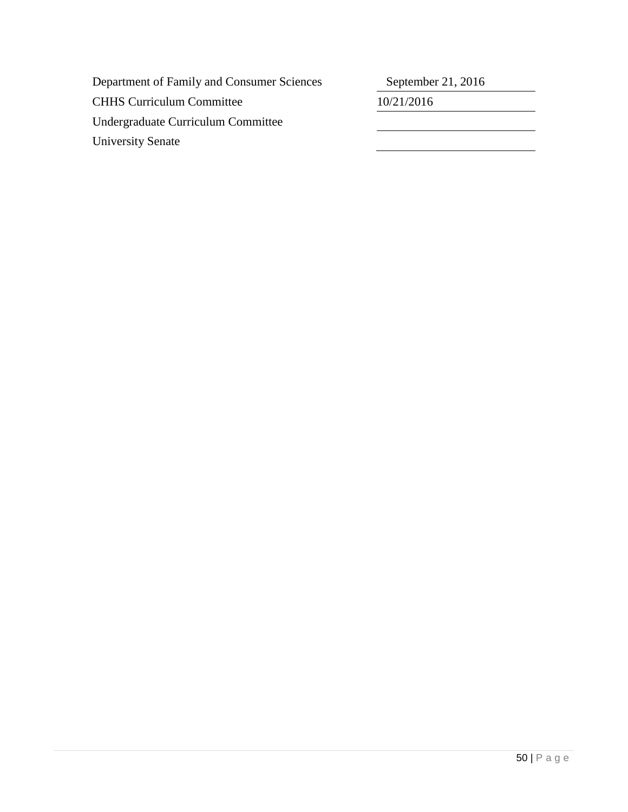| Department of Family and Consumer Sciences | September 21, 2016 |
|--------------------------------------------|--------------------|
| <b>CHHS Curriculum Committee</b>           | 10/21/2016         |
| Undergraduate Curriculum Committee         |                    |
| <b>University Senate</b>                   |                    |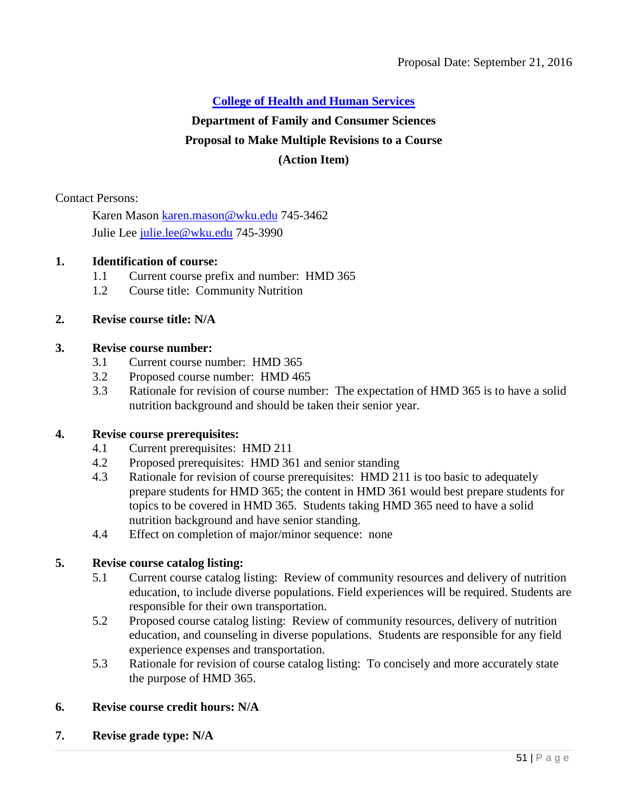## **Department of Family and Consumer Sciences**

## **Proposal to Make Multiple Revisions to a Course**

## **(Action Item)**

Contact Persons:

Karen Mason [karen.mason@wku.edu](mailto:karen.mason@wku.edu) 745-3462 Julie Lee [julie.lee@wku.edu](mailto:julie.lee@wku.edu) 745-3990

## **1. Identification of course:**

- 1.1 Current course prefix and number: HMD 365
- 1.2 Course title: Community Nutrition

## **2. Revise course title: N/A**

#### **3. Revise course number:**

- 3.1 Current course number: HMD 365
- 3.2 Proposed course number: HMD 465
- 3.3 Rationale for revision of course number: The expectation of HMD 365 is to have a solid nutrition background and should be taken their senior year.

#### **4. Revise course prerequisites:**

- 4.1 Current prerequisites: HMD 211
- 4.2 Proposed prerequisites: HMD 361 and senior standing
- 4.3 Rationale for revision of course prerequisites: HMD 211 is too basic to adequately prepare students for HMD 365; the content in HMD 361 would best prepare students for topics to be covered in HMD 365. Students taking HMD 365 need to have a solid nutrition background and have senior standing.
- 4.4 Effect on completion of major/minor sequence: none

#### **5. Revise course catalog listing:**

- 5.1 Current course catalog listing: Review of community resources and delivery of nutrition education, to include diverse populations. Field experiences will be required. Students are responsible for their own transportation.
- 5.2 Proposed course catalog listing: Review of community resources, delivery of nutrition education, and counseling in diverse populations. Students are responsible for any field experience expenses and transportation.
- 5.3 Rationale for revision of course catalog listing: To concisely and more accurately state the purpose of HMD 365.

#### **6. Revise course credit hours: N/A**

**7. Revise grade type: N/A**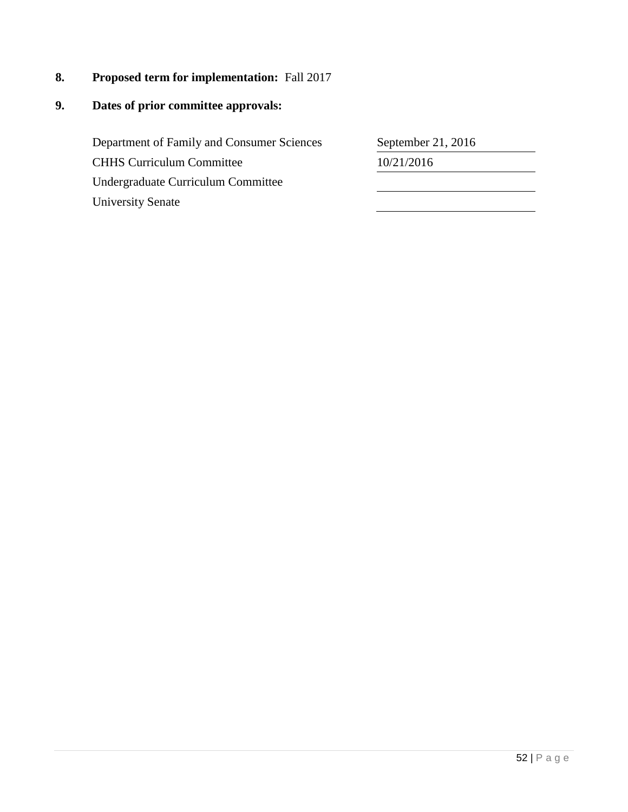**8. Proposed term for implementation:** Fall 2017

## **9. Dates of prior committee approvals:**

Department of Family and Consumer Sciences CHHS Curriculum Committee Undergraduate Curriculum Committee University Senate

| September 21, 2016 |  |
|--------------------|--|
| 10/21/2016         |  |
|                    |  |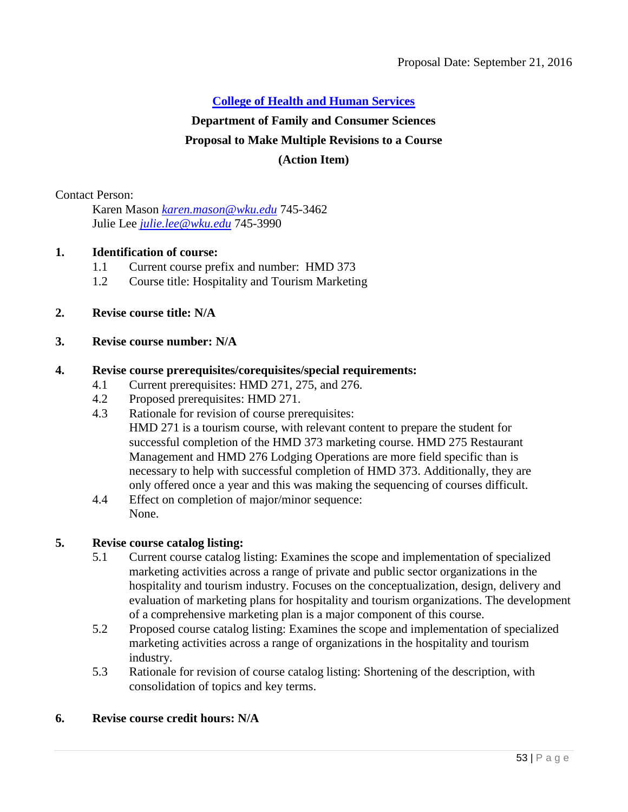## **Department of Family and Consumer Sciences**

## **Proposal to Make Multiple Revisions to a Course**

### **(Action Item)**

Contact Person:

Karen Mason *[karen.mason@wku.edu](mailto:karen.mason@wku.edu)* 745-3462 Julie Lee *[julie.lee@wku.edu](mailto:julie.lee@wku.edu)* 745-3990

## **1. Identification of course:**

- 1.1 Current course prefix and number: HMD 373
- 1.2 Course title: Hospitality and Tourism Marketing
- **2. Revise course title: N/A**

## **3. Revise course number: N/A**

#### **4. Revise course prerequisites/corequisites/special requirements:**

- 4.1 Current prerequisites: HMD 271, 275, and 276.
- 4.2 Proposed prerequisites: HMD 271.
- 4.3 Rationale for revision of course prerequisites: HMD 271 is a tourism course, with relevant content to prepare the student for successful completion of the HMD 373 marketing course. HMD 275 Restaurant Management and HMD 276 Lodging Operations are more field specific than is necessary to help with successful completion of HMD 373. Additionally, they are only offered once a year and this was making the sequencing of courses difficult.
- 4.4 Effect on completion of major/minor sequence: None.

#### **5. Revise course catalog listing:**

- 5.1 Current course catalog listing: Examines the scope and implementation of specialized marketing activities across a range of private and public sector organizations in the hospitality and tourism industry. Focuses on the conceptualization, design, delivery and evaluation of marketing plans for hospitality and tourism organizations. The development of a comprehensive marketing plan is a major component of this course.
- 5.2 Proposed course catalog listing: Examines the scope and implementation of specialized marketing activities across a range of organizations in the hospitality and tourism industry.
- 5.3 Rationale for revision of course catalog listing: Shortening of the description, with consolidation of topics and key terms.

#### **6. Revise course credit hours: N/A**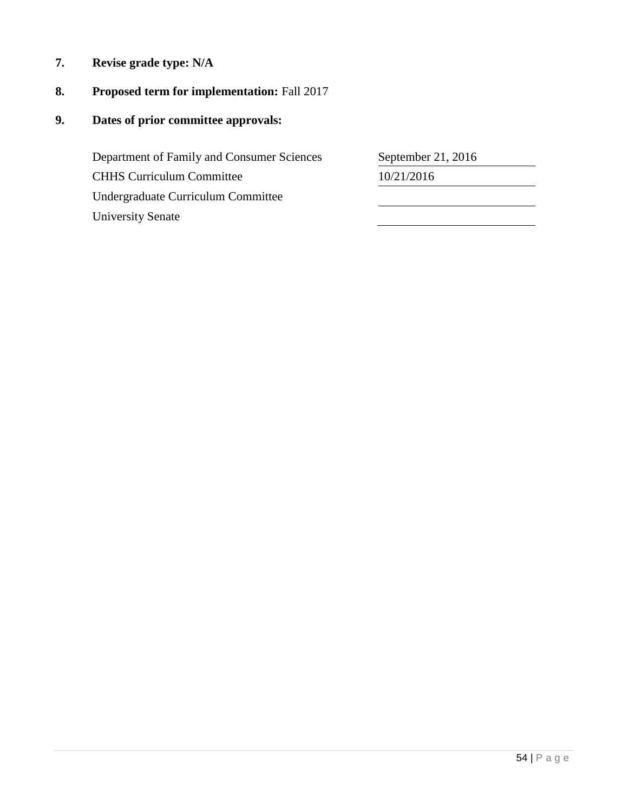**7. Revise grade type: N/A**

## **8. Proposed term for implementation:** Fall 2017

**9. Dates of prior committee approvals:**

Department of Family and Consumer Sciences CHHS Curriculum Committee Undergraduate Curriculum Committee University Senate

| September 21, 2016 |  |
|--------------------|--|
| 10/21/2016         |  |
|                    |  |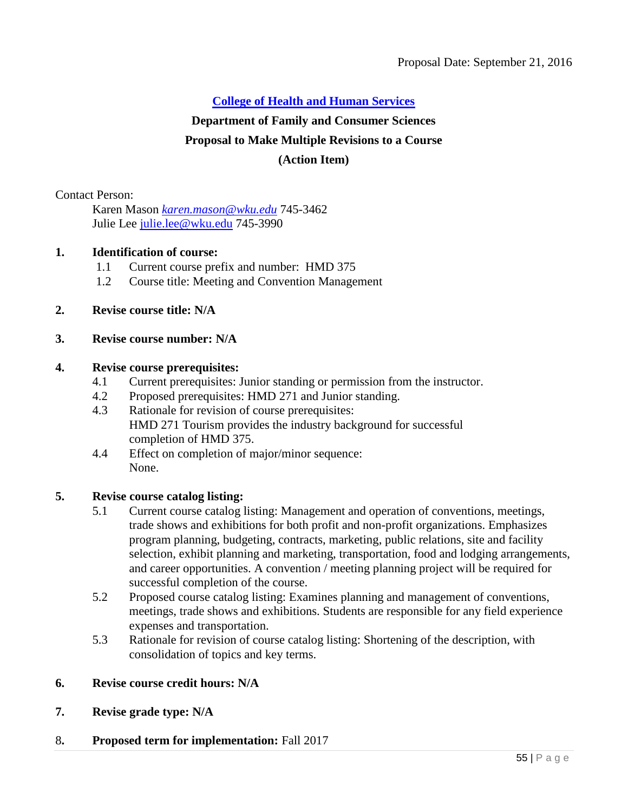## **Department of Family and Consumer Sciences**

## **Proposal to Make Multiple Revisions to a Course**

## **(Action Item)**

Contact Person:

Karen Mason *[karen.mason@wku.edu](mailto:karen.mason@wku.edu)* 745-3462 Julie Lee [julie.lee@wku.edu](mailto:julie.lee@wku.edu) 745-3990

## **1. Identification of course:**

- 1.1 Current course prefix and number: HMD 375
- 1.2 Course title: Meeting and Convention Management
- **2. Revise course title: N/A**

## **3. Revise course number: N/A**

#### **4. Revise course prerequisites:**

- 4.1 Current prerequisites: Junior standing or permission from the instructor.
- 4.2 Proposed prerequisites: HMD 271 and Junior standing.
- 4.3 Rationale for revision of course prerequisites: HMD 271 Tourism provides the industry background for successful completion of HMD 375.
- 4.4 Effect on completion of major/minor sequence: None.

### **5. Revise course catalog listing:**

- 5.1 Current course catalog listing: Management and operation of conventions, meetings, trade shows and exhibitions for both profit and non-profit organizations. Emphasizes program planning, budgeting, contracts, marketing, public relations, site and facility selection, exhibit planning and marketing, transportation, food and lodging arrangements, and career opportunities. A convention / meeting planning project will be required for successful completion of the course.
- 5.2 Proposed course catalog listing: Examines planning and management of conventions, meetings, trade shows and exhibitions. Students are responsible for any field experience expenses and transportation.
- 5.3 Rationale for revision of course catalog listing: Shortening of the description, with consolidation of topics and key terms.

### **6. Revise course credit hours: N/A**

**7. Revise grade type: N/A**

#### 8**. Proposed term for implementation:** Fall 2017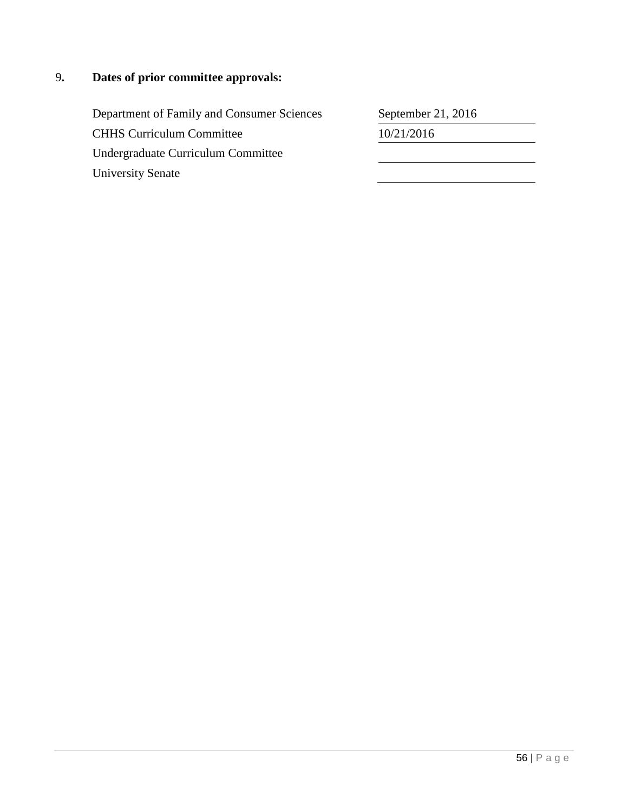## 9**. Dates of prior committee approvals:**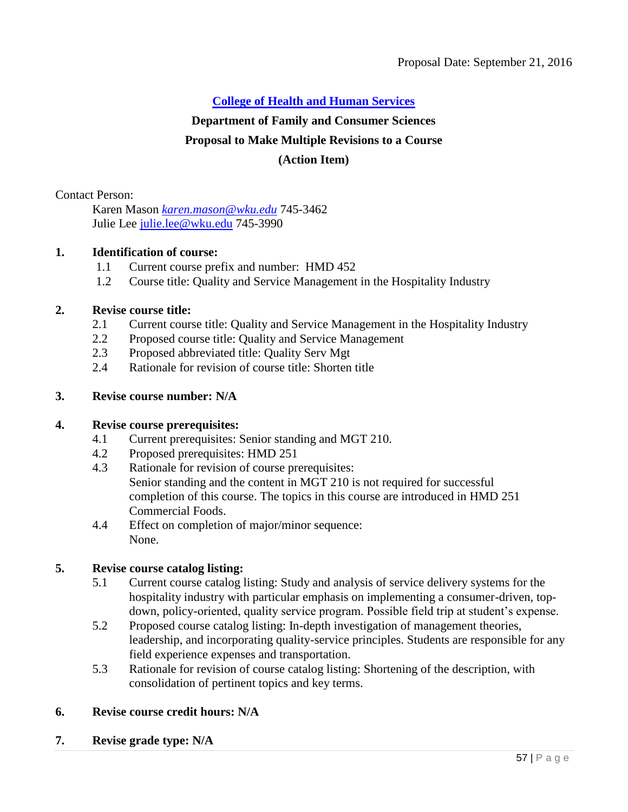## **Department of Family and Consumer Sciences**

## **Proposal to Make Multiple Revisions to a Course**

## **(Action Item)**

Contact Person:

Karen Mason *[karen.mason@wku.edu](mailto:karen.mason@wku.edu)* 745-3462 Julie Lee [julie.lee@wku.edu](mailto:julie.lee@wku.edu) 745-3990

## **1. Identification of course:**

- 1.1 Current course prefix and number: HMD 452
- 1.2 Course title: Quality and Service Management in the Hospitality Industry

## **2. Revise course title:**

- 2.1 Current course title: Quality and Service Management in the Hospitality Industry
- 2.2 Proposed course title: Quality and Service Management
- 2.3 Proposed abbreviated title: Quality Serv Mgt
- 2.4 Rationale for revision of course title: Shorten title

## **3. Revise course number: N/A**

## **4. Revise course prerequisites:**

- 4.1 Current prerequisites: Senior standing and MGT 210.
- 4.2 Proposed prerequisites: HMD 251
- 4.3 Rationale for revision of course prerequisites: Senior standing and the content in MGT 210 is not required for successful completion of this course. The topics in this course are introduced in HMD 251 Commercial Foods.
- 4.4 Effect on completion of major/minor sequence: None.

## **5. Revise course catalog listing:**

- 5.1 Current course catalog listing: Study and analysis of service delivery systems for the hospitality industry with particular emphasis on implementing a consumer-driven, topdown, policy-oriented, quality service program. Possible field trip at student's expense.
- 5.2 Proposed course catalog listing: In-depth investigation of management theories, leadership, and incorporating quality-service principles. Students are responsible for any field experience expenses and transportation.
- 5.3 Rationale for revision of course catalog listing: Shortening of the description, with consolidation of pertinent topics and key terms.

#### **6. Revise course credit hours: N/A**

**7. Revise grade type: N/A**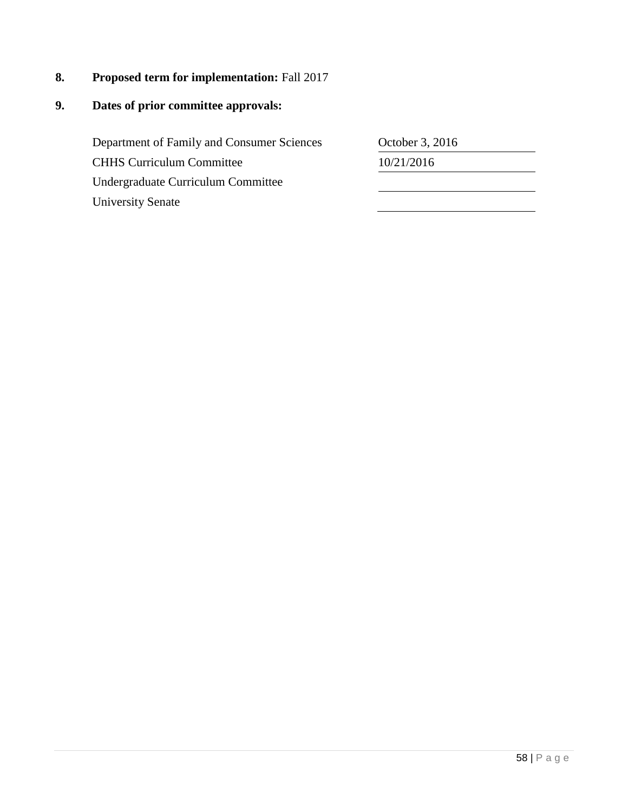**8. Proposed term for implementation:** Fall 2017

## **9. Dates of prior committee approvals:**

Department of Family and Consumer Sciences CHHS Curriculum Committee 10/21/2016 Undergraduate Curriculum Committee University Senate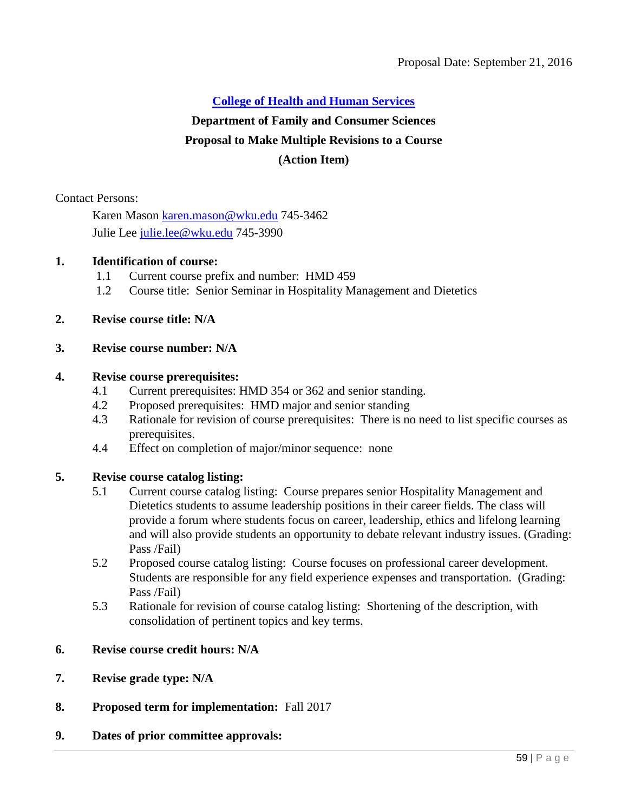## **Department of Family and Consumer Sciences**

## **Proposal to Make Multiple Revisions to a Course**

## **(Action Item)**

Contact Persons:

Karen Mason [karen.mason@wku.edu](mailto:karen.mason@wku.edu) 745-3462 Julie Lee [julie.lee@wku.edu](mailto:julie.lee@wku.edu) 745-3990

## **1. Identification of course:**

- 1.1 Current course prefix and number: HMD 459
- 1.2 Course title: Senior Seminar in Hospitality Management and Dietetics

## **2. Revise course title: N/A**

## **3. Revise course number: N/A**

#### **4. Revise course prerequisites:**

- 4.1 Current prerequisites: HMD 354 or 362 and senior standing.
- 4.2 Proposed prerequisites: HMD major and senior standing
- 4.3 Rationale for revision of course prerequisites: There is no need to list specific courses as prerequisites.
- 4.4 Effect on completion of major/minor sequence: none

## **5. Revise course catalog listing:**

- 5.1 Current course catalog listing: Course prepares senior Hospitality Management and Dietetics students to assume leadership positions in their career fields. The class will provide a forum where students focus on career, leadership, ethics and lifelong learning and will also provide students an opportunity to debate relevant industry issues. (Grading: Pass /Fail)
- 5.2 Proposed course catalog listing: Course focuses on professional career development. Students are responsible for any field experience expenses and transportation. (Grading: Pass /Fail)
- 5.3 Rationale for revision of course catalog listing: Shortening of the description, with consolidation of pertinent topics and key terms.
- **6. Revise course credit hours: N/A**
- **7. Revise grade type: N/A**
- **8. Proposed term for implementation:** Fall 2017
- **9. Dates of prior committee approvals:**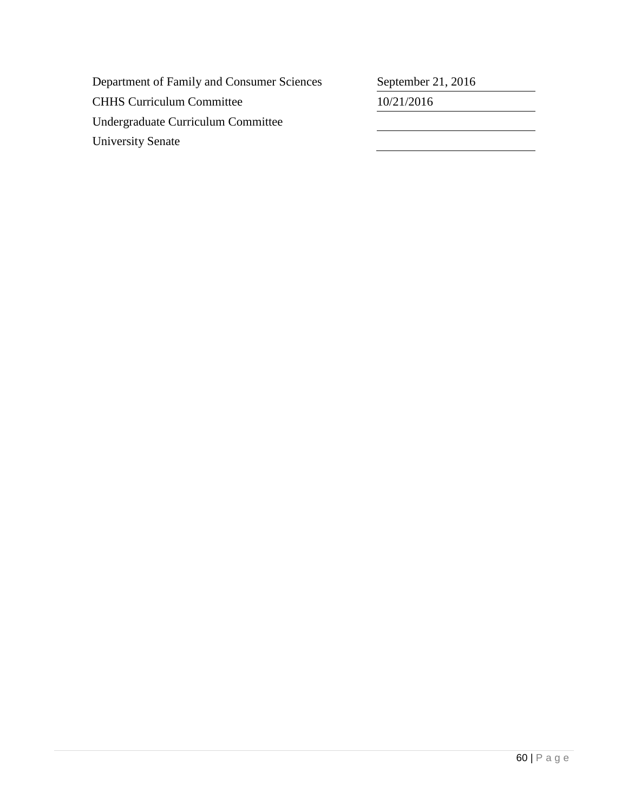| Department of Family and Consumer Sciences | September 21, 2016 |
|--------------------------------------------|--------------------|
| <b>CHHS Curriculum Committee</b>           | 10/21/2016         |
| Undergraduate Curriculum Committee         |                    |
| <b>University Senate</b>                   |                    |
|                                            |                    |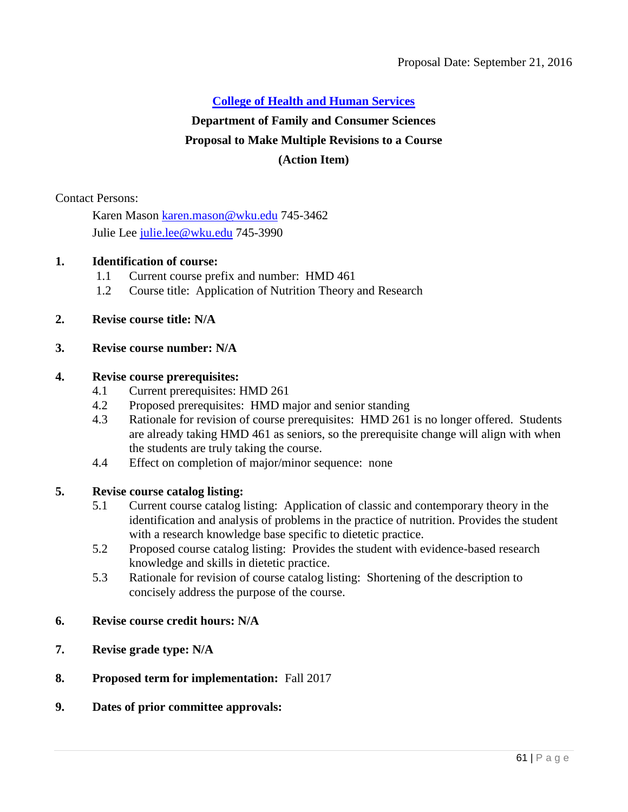## **Department of Family and Consumer Sciences**

### **Proposal to Make Multiple Revisions to a Course**

### **(Action Item)**

Contact Persons:

Karen Mason [karen.mason@wku.edu](mailto:karen.mason@wku.edu) 745-3462 Julie Lee [julie.lee@wku.edu](mailto:julie.lee@wku.edu) 745-3990

#### **1. Identification of course:**

- 1.1 Current course prefix and number: HMD 461
- 1.2 Course title: Application of Nutrition Theory and Research

## **2. Revise course title: N/A**

#### **3. Revise course number: N/A**

#### **4. Revise course prerequisites:**

- 4.1 Current prerequisites: HMD 261
- 4.2 Proposed prerequisites: HMD major and senior standing
- 4.3 Rationale for revision of course prerequisites: HMD 261 is no longer offered. Students are already taking HMD 461 as seniors, so the prerequisite change will align with when the students are truly taking the course.
- 4.4 Effect on completion of major/minor sequence: none

#### **5. Revise course catalog listing:**

- 5.1 Current course catalog listing: Application of classic and contemporary theory in the identification and analysis of problems in the practice of nutrition. Provides the student with a research knowledge base specific to dietetic practice.
- 5.2 Proposed course catalog listing: Provides the student with evidence-based research knowledge and skills in dietetic practice.
- 5.3 Rationale for revision of course catalog listing: Shortening of the description to concisely address the purpose of the course.

### **6. Revise course credit hours: N/A**

- **7. Revise grade type: N/A**
- **8. Proposed term for implementation:** Fall 2017
- **9. Dates of prior committee approvals:**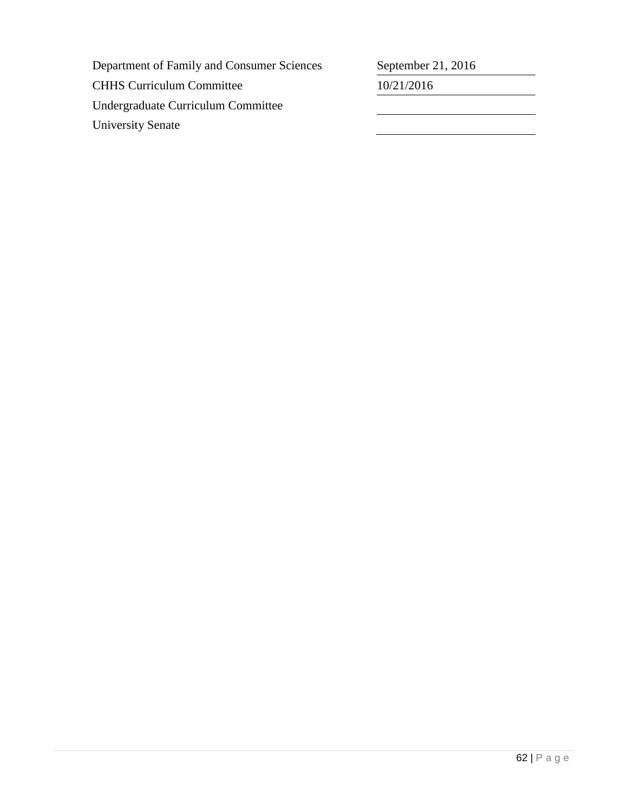| Department of Family and Consumer Sciences | September 21, 2016 |
|--------------------------------------------|--------------------|
| <b>CHHS Curriculum Committee</b>           | 10/21/2016         |
| Undergraduate Curriculum Committee         |                    |
| <b>University Senate</b>                   |                    |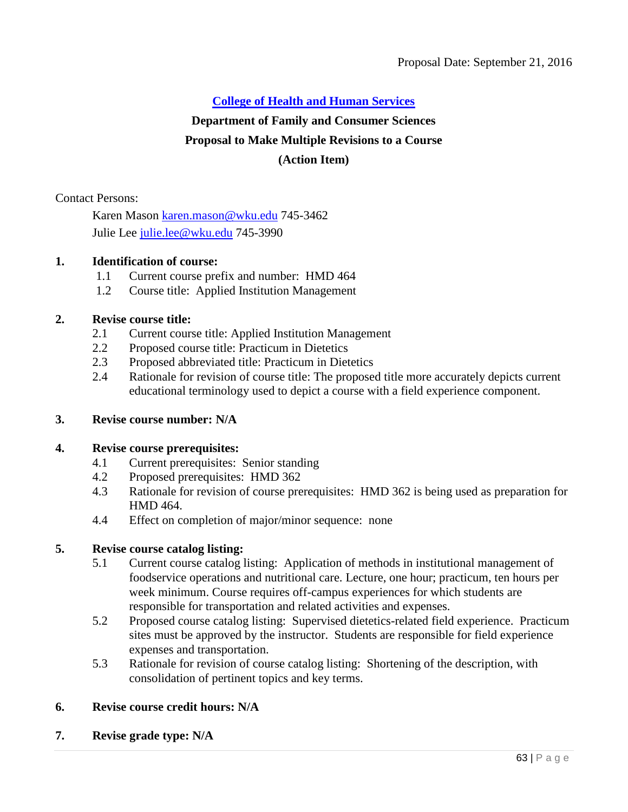## **Department of Family and Consumer Sciences**

## **Proposal to Make Multiple Revisions to a Course**

## **(Action Item)**

Contact Persons:

Karen Mason [karen.mason@wku.edu](mailto:karen.mason@wku.edu) 745-3462 Julie Lee [julie.lee@wku.edu](mailto:julie.lee@wku.edu) 745-3990

## **1. Identification of course:**

- 1.1 Current course prefix and number: HMD 464
- 1.2 Course title: Applied Institution Management

## **2. Revise course title:**

- 2.1 Current course title: Applied Institution Management
- 2.2 Proposed course title: Practicum in Dietetics
- 2.3 Proposed abbreviated title: Practicum in Dietetics
- 2.4 Rationale for revision of course title: The proposed title more accurately depicts current educational terminology used to depict a course with a field experience component.

#### **3. Revise course number: N/A**

#### **4. Revise course prerequisites:**

- 4.1 Current prerequisites: Senior standing
- 4.2 Proposed prerequisites: HMD 362
- 4.3 Rationale for revision of course prerequisites: HMD 362 is being used as preparation for HMD 464.
- 4.4 Effect on completion of major/minor sequence: none

## **5. Revise course catalog listing:**

- 5.1 Current course catalog listing: Application of methods in institutional management of foodservice operations and nutritional care. Lecture, one hour; practicum, ten hours per week minimum. Course requires off-campus experiences for which students are responsible for transportation and related activities and expenses.
- 5.2 Proposed course catalog listing: Supervised dietetics-related field experience. Practicum sites must be approved by the instructor. Students are responsible for field experience expenses and transportation.
- 5.3 Rationale for revision of course catalog listing: Shortening of the description, with consolidation of pertinent topics and key terms.

## **6. Revise course credit hours: N/A**

**7. Revise grade type: N/A**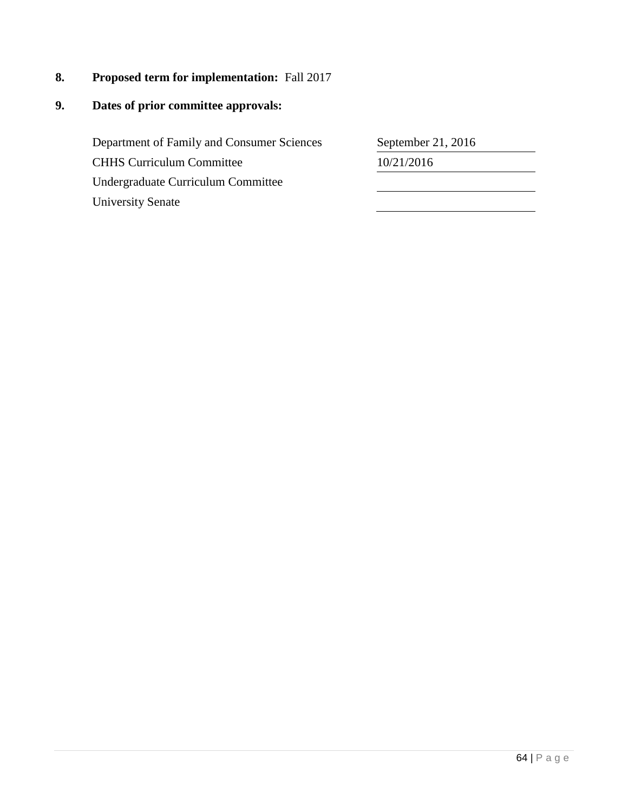**8. Proposed term for implementation:** Fall 2017

## **9. Dates of prior committee approvals:**

Department of Family and Consumer Sciences CHHS Curriculum Committee Undergraduate Curriculum Committee University Senate

| 10/21/2016 | September 21, 2016 |
|------------|--------------------|
|            |                    |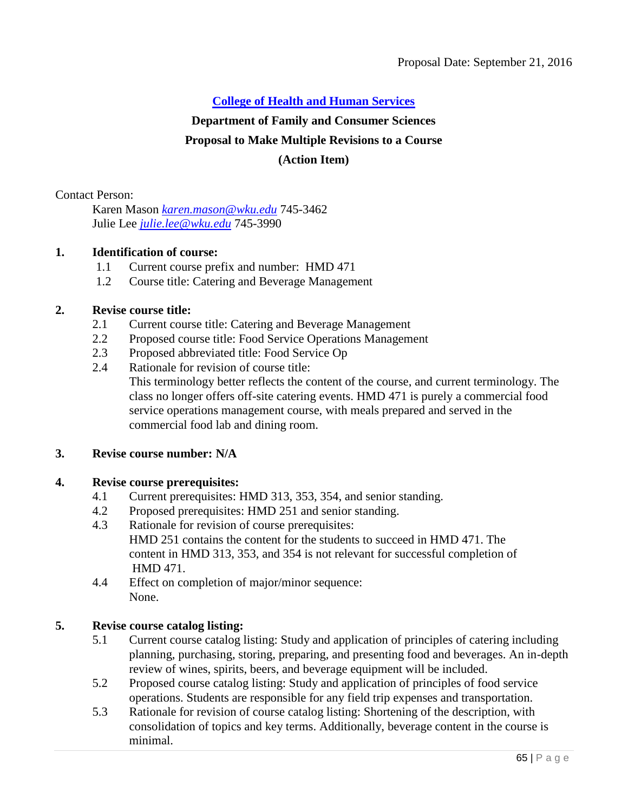#### **Department of Family and Consumer Sciences**

#### **Proposal to Make Multiple Revisions to a Course**

#### **(Action Item)**

Contact Person:

Karen Mason *[karen.mason@wku.edu](mailto:karen.mason@wku.edu)* 745-3462 Julie Lee *[julie.lee@wku.edu](mailto:julie.lee@wku.edu)* 745-3990

#### **1. Identification of course:**

- 1.1 Current course prefix and number: HMD 471
- 1.2 Course title: Catering and Beverage Management

## **2. Revise course title:**

- 2.1 Current course title: Catering and Beverage Management
- 2.2 Proposed course title: Food Service Operations Management
- 2.3 Proposed abbreviated title: Food Service Op
- 2.4 Rationale for revision of course title:
	- This terminology better reflects the content of the course, and current terminology. The class no longer offers off-site catering events. HMD 471 is purely a commercial food service operations management course, with meals prepared and served in the commercial food lab and dining room.

#### **3. Revise course number: N/A**

#### **4. Revise course prerequisites:**

- 4.1 Current prerequisites: HMD 313, 353, 354, and senior standing.
- 4.2 Proposed prerequisites: HMD 251 and senior standing.
- 4.3 Rationale for revision of course prerequisites: HMD 251 contains the content for the students to succeed in HMD 471. The content in HMD 313, 353, and 354 is not relevant for successful completion of HMD 471.
- 4.4 Effect on completion of major/minor sequence: None.

## **5. Revise course catalog listing:**

- 5.1 Current course catalog listing: Study and application of principles of catering including planning, purchasing, storing, preparing, and presenting food and beverages. An in-depth review of wines, spirits, beers, and beverage equipment will be included.
- 5.2 Proposed course catalog listing: Study and application of principles of food service operations. Students are responsible for any field trip expenses and transportation.
- 5.3 Rationale for revision of course catalog listing: Shortening of the description, with consolidation of topics and key terms. Additionally, beverage content in the course is minimal.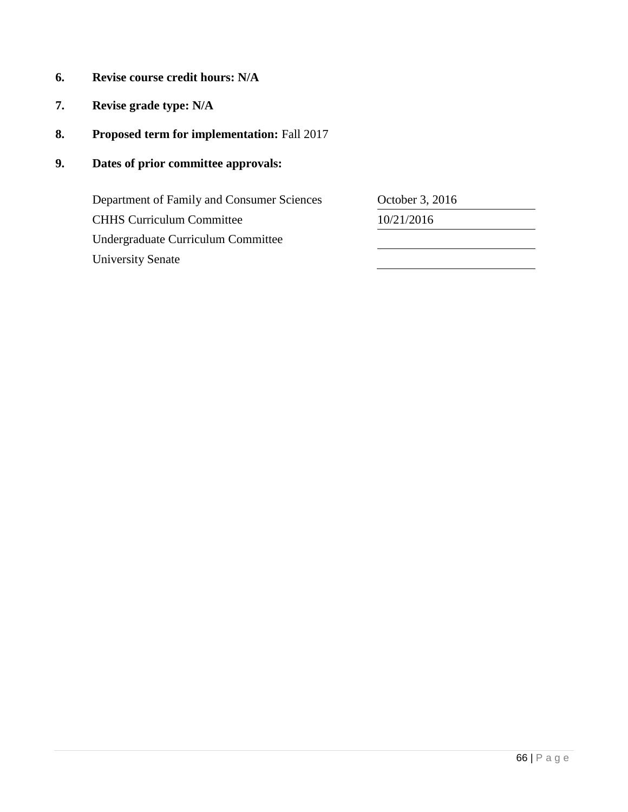- **6. Revise course credit hours: N/A**
- **7. Revise grade type: N/A**
- **8. Proposed term for implementation:** Fall 2017
- **9. Dates of prior committee approvals:**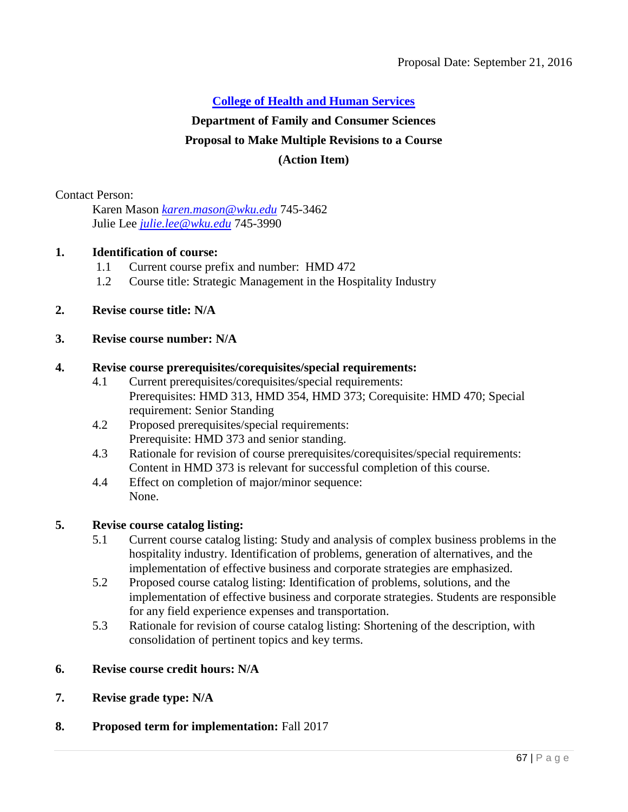## **Department of Family and Consumer Sciences**

## **Proposal to Make Multiple Revisions to a Course**

### **(Action Item)**

Contact Person:

Karen Mason *[karen.mason@wku.edu](mailto:karen.mason@wku.edu)* 745-3462 Julie Lee *[julie.lee@wku.edu](mailto:julie.lee@wku.edu)* 745-3990

#### **1. Identification of course:**

- 1.1 Current course prefix and number: HMD 472
- 1.2 Course title: Strategic Management in the Hospitality Industry
- **2. Revise course title: N/A**

#### **3. Revise course number: N/A**

### **4. Revise course prerequisites/corequisites/special requirements:**

- 4.1 Current prerequisites/corequisites/special requirements: Prerequisites: HMD 313, HMD 354, HMD 373; Corequisite: HMD 470; Special requirement: Senior Standing
- 4.2 Proposed prerequisites/special requirements: Prerequisite: HMD 373 and senior standing.
- 4.3 Rationale for revision of course prerequisites/corequisites/special requirements: Content in HMD 373 is relevant for successful completion of this course.
- 4.4 Effect on completion of major/minor sequence: None.

## **5. Revise course catalog listing:**

- 5.1 Current course catalog listing: Study and analysis of complex business problems in the hospitality industry. Identification of problems, generation of alternatives, and the implementation of effective business and corporate strategies are emphasized.
- 5.2 Proposed course catalog listing: Identification of problems, solutions, and the implementation of effective business and corporate strategies. Students are responsible for any field experience expenses and transportation.
- 5.3 Rationale for revision of course catalog listing: Shortening of the description, with consolidation of pertinent topics and key terms.
- **6. Revise course credit hours: N/A**
- **7. Revise grade type: N/A**

#### **8. Proposed term for implementation:** Fall 2017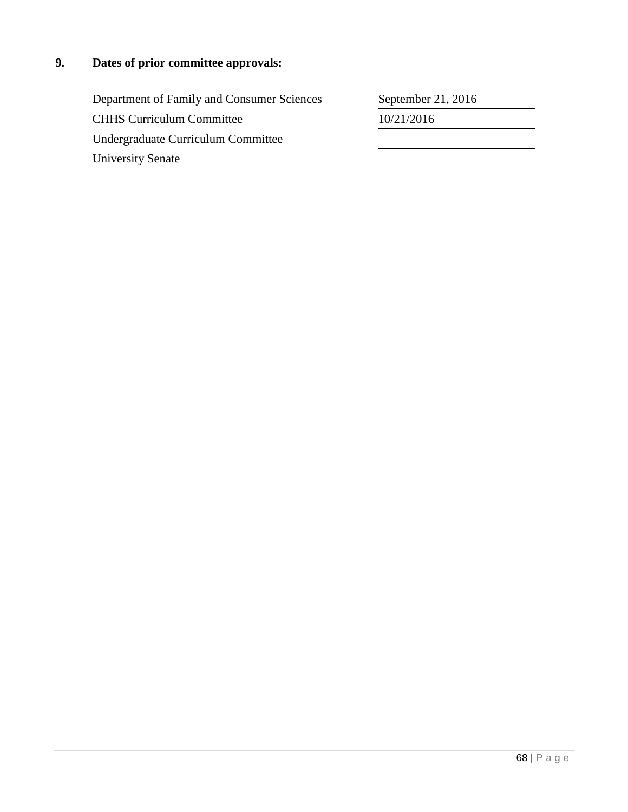# **9. Dates of prior committee approvals:**

| Department of Family and Consumer Sciences | September 21, 2016 |
|--------------------------------------------|--------------------|
| <b>CHHS Curriculum Committee</b>           | 10/21/2016         |
| Undergraduate Curriculum Committee         |                    |
| <b>University Senate</b>                   |                    |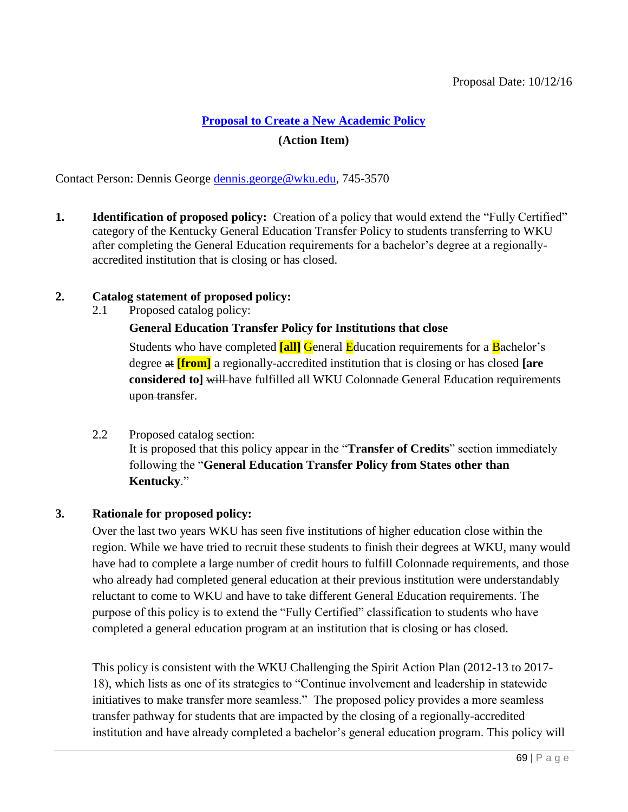## **[Proposal to Create a New Academic Policy](#page-5-0)**

## **(Action Item)**

Contact Person: Dennis George [dennis.george@wku.edu,](mailto:dennis.george@wku.edu) 745-3570

**1. Identification of proposed policy:** Creation of a policy that would extend the "Fully Certified" category of the Kentucky General Education Transfer Policy to students transferring to WKU after completing the General Education requirements for a bachelor's degree at a regionallyaccredited institution that is closing or has closed.

## **2. Catalog statement of proposed policy:**

2.1 Proposed catalog policy:

**General Education Transfer Policy for Institutions that close**

Students who have completed **[all]** General Education requirements for a Bachelor's degree at **[from]** a regionally-accredited institution that is closing or has closed **[are considered to] will-have fulfilled all WKU Colonnade General Education requirements** upon transfer.

2.2 Proposed catalog section: It is proposed that this policy appear in the "**Transfer of Credits**" section immediately following the "**General Education Transfer Policy from States other than Kentucky**."

## **3. Rationale for proposed policy:**

Over the last two years WKU has seen five institutions of higher education close within the region. While we have tried to recruit these students to finish their degrees at WKU, many would have had to complete a large number of credit hours to fulfill Colonnade requirements, and those who already had completed general education at their previous institution were understandably reluctant to come to WKU and have to take different General Education requirements. The purpose of this policy is to extend the "Fully Certified" classification to students who have completed a general education program at an institution that is closing or has closed.

This policy is consistent with the WKU Challenging the Spirit Action Plan (2012-13 to 2017- 18), which lists as one of its strategies to "Continue involvement and leadership in statewide initiatives to make transfer more seamless." The proposed policy provides a more seamless transfer pathway for students that are impacted by the closing of a regionally-accredited institution and have already completed a bachelor's general education program. This policy will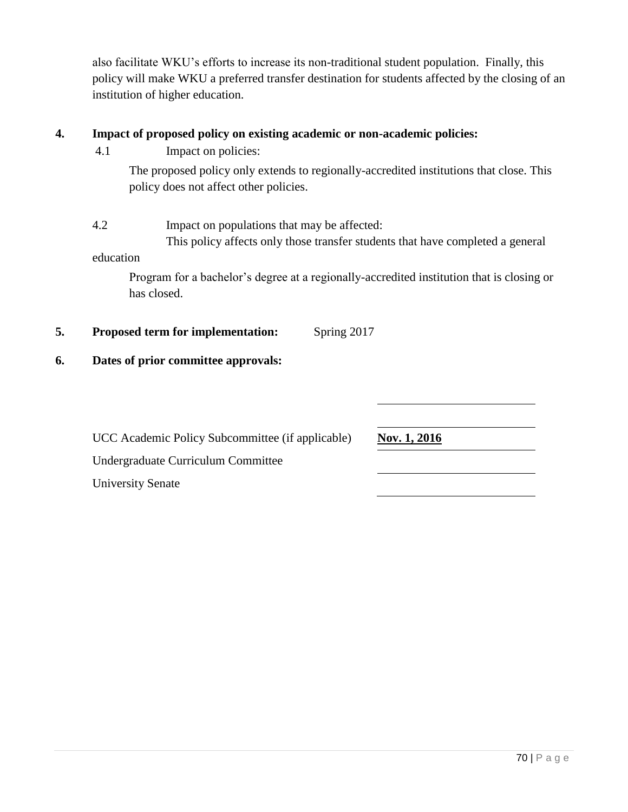also facilitate WKU's efforts to increase its non-traditional student population. Finally, this policy will make WKU a preferred transfer destination for students affected by the closing of an institution of higher education.

## **4. Impact of proposed policy on existing academic or non-academic policies:**

4.1 Impact on policies:

The proposed policy only extends to regionally-accredited institutions that close. This policy does not affect other policies.

4.2 Impact on populations that may be affected:

This policy affects only those transfer students that have completed a general

education

Program for a bachelor's degree at a regionally-accredited institution that is closing or has closed.

**5. Proposed term for implementation:** Spring 2017

## **6. Dates of prior committee approvals:**

UCC Academic Policy Subcommittee (if applicable) Nov. 1, 2016

Undergraduate Curriculum Committee

University Senate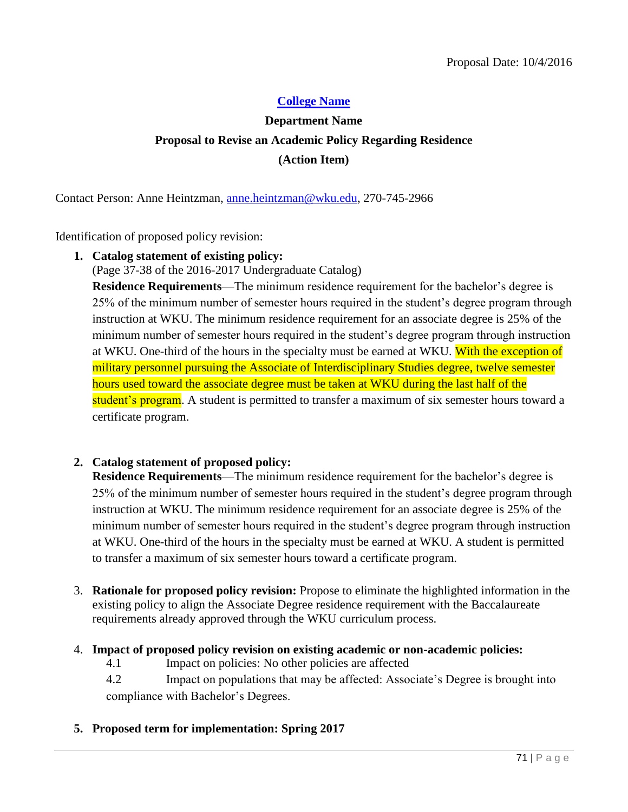## **[College Name](#page-5-0)**

# **Department Name Proposal to Revise an Academic Policy Regarding Residence (Action Item)**

Contact Person: Anne Heintzman, [anne.heintzman@wku.edu,](mailto:anne.heintzman@wku.edu) 270-745-2966

Identification of proposed policy revision:

**1. Catalog statement of existing policy:**

(Page 37-38 of the 2016-2017 Undergraduate Catalog)

**Residence Requirements**—The minimum residence requirement for the bachelor's degree is 25% of the minimum number of semester hours required in the student's degree program through instruction at WKU. The minimum residence requirement for an associate degree is 25% of the minimum number of semester hours required in the student's degree program through instruction at WKU. One-third of the hours in the specialty must be earned at WKU. With the exception of military personnel pursuing the Associate of Interdisciplinary Studies degree, twelve semester hours used toward the associate degree must be taken at WKU during the last half of the student's program. A student is permitted to transfer a maximum of six semester hours toward a certificate program.

## **2. Catalog statement of proposed policy:**

**Residence Requirements**—The minimum residence requirement for the bachelor's degree is 25% of the minimum number of semester hours required in the student's degree program through instruction at WKU. The minimum residence requirement for an associate degree is 25% of the minimum number of semester hours required in the student's degree program through instruction at WKU. One-third of the hours in the specialty must be earned at WKU. A student is permitted to transfer a maximum of six semester hours toward a certificate program.

3. **Rationale for proposed policy revision:** Propose to eliminate the highlighted information in the existing policy to align the Associate Degree residence requirement with the Baccalaureate requirements already approved through the WKU curriculum process.

#### 4. **Impact of proposed policy revision on existing academic or non-academic policies:**

4.1 Impact on policies: No other policies are affected

4.2 Impact on populations that may be affected: Associate's Degree is brought into compliance with Bachelor's Degrees.

**5. Proposed term for implementation: Spring 2017**